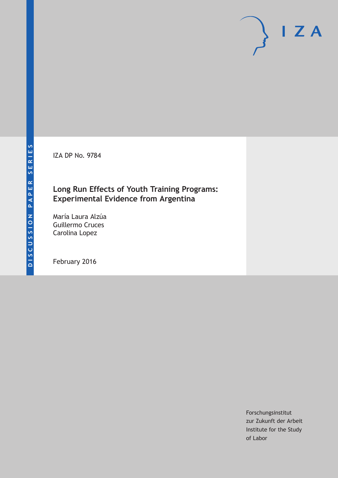IZA DP No. 9784

# **Long Run Effects of Youth Training Programs: Experimental Evidence from Argentina**

María Laura Alzúa Guillermo Cruces Carolina Lopez

February 2016

Forschungsinstitut zur Zukunft der Arbeit Institute for the Study of Labor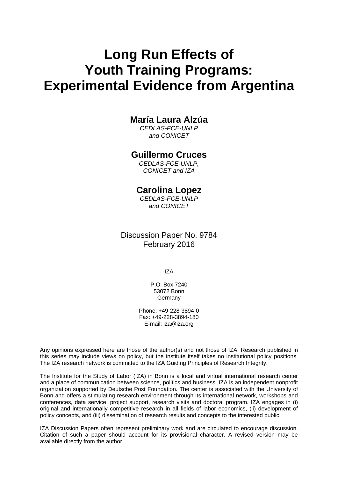# **Long Run Effects of Youth Training Programs: Experimental Evidence from Argentina**

## **María Laura Alzúa**

*CEDLAS-FCE-UNLP and CONICET* 

### **Guillermo Cruces**

*CEDLAS-FCE-UNLP, CONICET and IZA* 

## **Carolina Lopez**

*CEDLAS-FCE-UNLP and CONICET*

Discussion Paper No. 9784 February 2016

IZA

P.O. Box 7240 53072 Bonn Germany

Phone: +49-228-3894-0 Fax: +49-228-3894-180 E-mail: iza@iza.org

Any opinions expressed here are those of the author(s) and not those of IZA. Research published in this series may include views on policy, but the institute itself takes no institutional policy positions. The IZA research network is committed to the IZA Guiding Principles of Research Integrity.

The Institute for the Study of Labor (IZA) in Bonn is a local and virtual international research center and a place of communication between science, politics and business. IZA is an independent nonprofit organization supported by Deutsche Post Foundation. The center is associated with the University of Bonn and offers a stimulating research environment through its international network, workshops and conferences, data service, project support, research visits and doctoral program. IZA engages in (i) original and internationally competitive research in all fields of labor economics, (ii) development of policy concepts, and (iii) dissemination of research results and concepts to the interested public.

IZA Discussion Papers often represent preliminary work and are circulated to encourage discussion. Citation of such a paper should account for its provisional character. A revised version may be available directly from the author.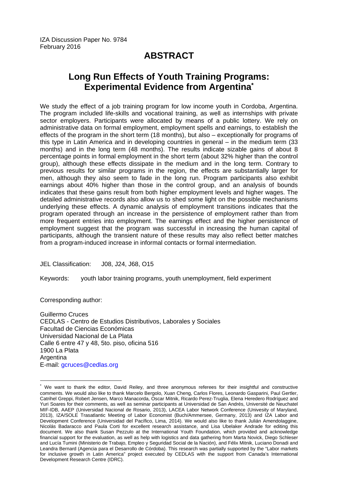# **ABSTRACT**

# **Long Run Effects of Youth Training Programs: Experimental Evidence from Argentina\***

We study the effect of a job training program for low income youth in Cordoba, Argentina. The program included life-skills and vocational training, as well as internships with private sector employers. Participants were allocated by means of a public lottery. We rely on administrative data on formal employment, employment spells and earnings, to establish the effects of the program in the short term (18 months), but also – exceptionally for programs of this type in Latin America and in developing countries in general – in the medium term (33 months) and in the long term (48 months). The results indicate sizable gains of about 8 percentage points in formal employment in the short term (about 32% higher than the control group), although these effects dissipate in the medium and in the long term. Contrary to previous results for similar programs in the region, the effects are substantially larger for men, although they also seem to fade in the long run. Program participants also exhibit earnings about 40% higher than those in the control group, and an analysis of bounds indicates that these gains result from both higher employment levels and higher wages. The detailed administrative records also allow us to shed some light on the possible mechanisms underlying these effects. A dynamic analysis of employment transitions indicates that the program operated through an increase in the persistence of employment rather than from more frequent entries into employment. The earnings effect and the higher persistence of employment suggest that the program was successful in increasing the human capital of participants, although the transient nature of these results may also reflect better matches from a program-induced increase in informal contacts or formal intermediation.

JEL Classification: J08, J24, J68, O15

Keywords: youth labor training programs, youth unemployment, field experiment

Corresponding author:

 $\overline{a}$ 

Guillermo Cruces CEDLAS - Centro de Estudios Distributivos, Laborales y Sociales Facultad de Ciencias Económicas Universidad Nacional de La Plata Calle 6 entre 47 y 48, 5to. piso, oficina 516 1900 La Plata **Argentina** E-mail: gcruces@cedlas.org

We want to thank the editor, David Reiley, and three anonymous referees for their insightful and constructive comments. We would also like to thank Marcelo Bergolo, Xuan Cheng, Carlos Flores, Leonardo Gasparini, Paul Gertler, Catrihel Greppi, Robert Jensen, Marco Manacorda, Oscar Mitnik, Ricardo Perez-Truglia, Elena Heredero Rodríguez and Yuri Soares for their comments, as well as seminar participants at Universidad de San Andrés, Université de Neuchatel MIF-IDB, AAEP (Universidad Nacional de Rosario, 2013), LACEA Labor Network Conference (Univesity of Maryland, 2013), IZA/SOLE Trasatlantic Meeting of Labor Economist (Buch/Ammersee, Germany, 2013) and IZA Labor and Development Conference (Universidad del Pacífico, Lima, 2014). We would also like to thank Julián Amendolaggine. Nicolás Badaracco and Paula Corti for excellent research assistance, and Lisa Ubelaker Andrade for editing this document. We also thank Susan Pezzulo at the International Youth Foundation, which provided and acknowledge financial support for the evaluation, as well as help with logistics and data gathering from Marta Novick, Diego Schleser and Lucía Tumini (Ministerio de Trabajo, Empleo y Seguridad Social de la Nación), and Félix Mitnik, Luciano Donadi and Leandra Bernard (Agencia para el Desarrollo de Córdoba). This research was partially supported by the "Labor markets for inclusive growth in Latin America" project executed by CEDLAS with the support from Canada's International Development Research Centre (IDRC).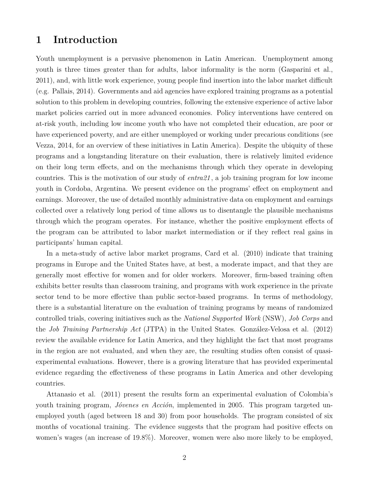## **1 Introduction**

Youth unemployment is a pervasive phenomenon in Latin American. Unemployment among youth is three times greater than for adults, labor informality is the norm (Gasparini et al., 2011), and, with little work experience, young people find insertion into the labor market difficult (e.g. Pallais, 2014). Governments and aid agencies have explored training programs as a potential solution to this problem in developing countries, following the extensive experience of active labor market policies carried out in more advanced economies. Policy interventions have centered on at-risk youth, including low income youth who have not completed their education, are poor or have experienced poverty, and are either unemployed or working under precarious conditions (see Vezza, 2014, for an overview of these initiatives in Latin America). Despite the ubiquity of these programs and a longstanding literature on their evaluation, there is relatively limited evidence on their long term effects, and on the mechanisms through which they operate in developing countries. This is the motivation of our study of *entra21* , a job training program for low income youth in Cordoba, Argentina. We present evidence on the programs' effect on employment and earnings. Moreover, the use of detailed monthly administrative data on employment and earnings collected over a relatively long period of time allows us to disentangle the plausible mechanisms through which the program operates. For instance, whether the positive employment effects of the program can be attributed to labor market intermediation or if they reflect real gains in participants' human capital.

In a meta-study of active labor market programs, Card et al. (2010) indicate that training programs in Europe and the United States have, at best, a moderate impact, and that they are generally most effective for women and for older workers. Moreover, firm-based training often exhibits better results than classroom training, and programs with work experience in the private sector tend to be more effective than public sector-based programs. In terms of methodology, there is a substantial literature on the evaluation of training programs by means of randomized controlled trials, covering initiatives such as the *National Supported Work* (NSW), *Job Corps* and the *Job Training Partnership Act* (JTPA) in the United States. González-Velosa et al. (2012) review the available evidence for Latin America, and they highlight the fact that most programs in the region are not evaluated, and when they are, the resulting studies often consist of quasiexperimental evaluations. However, there is a growing literature that has provided experimental evidence regarding the effectiveness of these programs in Latin America and other developing countries.

Attanasio et al. (2011) present the results form an experimental evaluation of Colombia's youth training program, *Jóvenes en Acción*, implemented in 2005. This program targeted unemployed youth (aged between 18 and 30) from poor households. The program consisted of six months of vocational training. The evidence suggests that the program had positive effects on women's wages (an increase of 19.8%). Moreover, women were also more likely to be employed,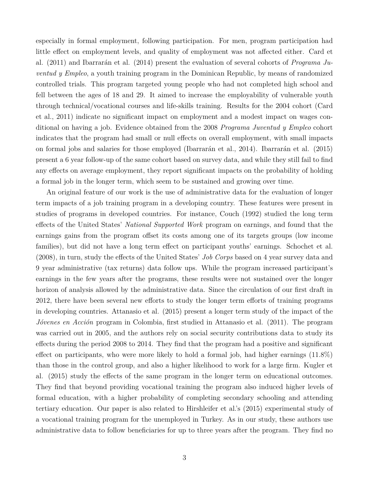especially in formal employment, following participation. For men, program participation had little effect on employment levels, and quality of employment was not affected either. Card et al. (2011) and Ibarrarán et al. (2014) present the evaluation of several cohorts of *Programa Juventud y Empleo*, a youth training program in the Dominican Republic, by means of randomized controlled trials. This program targeted young people who had not completed high school and fell between the ages of 18 and 29. It aimed to increase the employability of vulnerable youth through technical/vocational courses and life-skills training. Results for the 2004 cohort (Card et al., 2011) indicate no significant impact on employment and a modest impact on wages conditional on having a job. Evidence obtained from the 2008 *Programa Juventud y Empleo* cohort indicates that the program had small or null effects on overall employment, with small impacts on formal jobs and salaries for those employed (Ibarrarán et al., 2014). Ibarrarán et al. (2015) present a 6 year follow-up of the same cohort based on survey data, and while they still fail to find any effects on average employment, they report significant impacts on the probability of holding a formal job in the longer term, which seem to be sustained and growing over time.

An original feature of our work is the use of administrative data for the evaluation of longer term impacts of a job training program in a developing country. These features were present in studies of programs in developed countries. For instance, Couch (1992) studied the long term effects of the United States' *National Supported Work* program on earnings, and found that the earnings gains from the program offset its costs among one of its targets groups (low income families), but did not have a long term effect on participant youths' earnings. Schochet et al. (2008), in turn, study the effects of the United States' *Job Corps* based on 4 year survey data and 9 year administrative (tax returns) data follow ups. While the program increased participant's earnings in the few years after the programs, these results were not sustained over the longer horizon of analysis allowed by the administrative data. Since the circulation of our first draft in 2012, there have been several new efforts to study the longer term efforts of training programs in developing countries. Attanasio et al. (2015) present a longer term study of the impact of the *Jóvenes en Acción* program in Colombia, first studied in Attanasio et al. (2011). The program was carried out in 2005, and the authors rely on social security contributions data to study its effects during the period 2008 to 2014. They find that the program had a positive and significant effect on participants, who were more likely to hold a formal job, had higher earnings (11.8%) than those in the control group, and also a higher likelihood to work for a large firm. Kugler et al. (2015) study the effects of the same program in the longer term on educational outcomes. They find that beyond providing vocational training the program also induced higher levels of formal education, with a higher probability of completing secondary schooling and attending tertiary education. Our paper is also related to Hirshleifer et al.'s (2015) experimental study of a vocational training program for the unemployed in Turkey. As in our study, these authors use administrative data to follow beneficiaries for up to three years after the program. They find no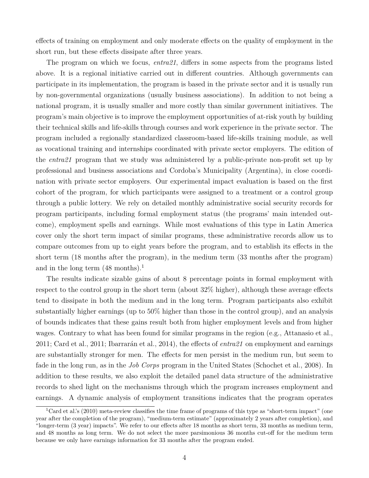effects of training on employment and only moderate effects on the quality of employment in the short run, but these effects dissipate after three years.

The program on which we focus, *entra21*, differs in some aspects from the programs listed above. It is a regional initiative carried out in different countries. Although governments can participate in its implementation, the program is based in the private sector and it is usually run by non-governmental organizations (usually business associations). In addition to not being a national program, it is usually smaller and more costly than similar government initiatives. The program's main objective is to improve the employment opportunities of at-risk youth by building their technical skills and life-skills through courses and work experience in the private sector. The program included a regionally standardized classroom-based life-skills training module, as well as vocational training and internships coordinated with private sector employers. The edition of the *entra21* program that we study was administered by a public-private non-profit set up by professional and business associations and Cordoba's Municipality (Argentina), in close coordination with private sector employers. Our experimental impact evaluation is based on the first cohort of the program, for which participants were assigned to a treatment or a control group through a public lottery. We rely on detailed monthly administrative social security records for program participants, including formal employment status (the programs' main intended outcome), employment spells and earnings. While most evaluations of this type in Latin America cover only the short term impact of similar programs, these administrative records allow us to compare outcomes from up to eight years before the program, and to establish its effects in the short term (18 months after the program), in the medium term (33 months after the program) and in the long term  $(48 \text{ months})$ .<sup>1</sup>

The results indicate sizable gains of about 8 percentage points in formal employment with respect to the control group in the short term (about 32% higher), although these average effects tend to dissipate in both the medium and in the long term. Program participants also exhibit substantially higher earnings (up to 50% higher than those in the control group), and an analysis of bounds indicates that these gains result both from higher employment levels and from higher wages. Contrary to what has been found for similar programs in the region (e.g., Attanasio et al., 2011; Card et al., 2011; Ibarrarán et al., 2014), the effects of *entra21* on employment and earnings are substantially stronger for men. The effects for men persist in the medium run, but seem to fade in the long run, as in the *Job Corps* program in the United States (Schochet et al., 2008). In addition to these results, we also exploit the detailed panel data structure of the administrative records to shed light on the mechanisms through which the program increases employment and earnings. A dynamic analysis of employment transitions indicates that the program operates

<sup>&</sup>lt;sup>1</sup>Card et al.'s (2010) meta-review classifies the time frame of programs of this type as "short-term impact" (one year after the completion of the program), "medium-term estimate" (approximately 2 years after completion), and "longer-term (3 year) impacts". We refer to our effects after 18 months as short term, 33 months as medium term, and 48 months as long term. We do not select the more parsimonious 36 months cut-off for the medium term because we only have earnings information for 33 months after the program ended.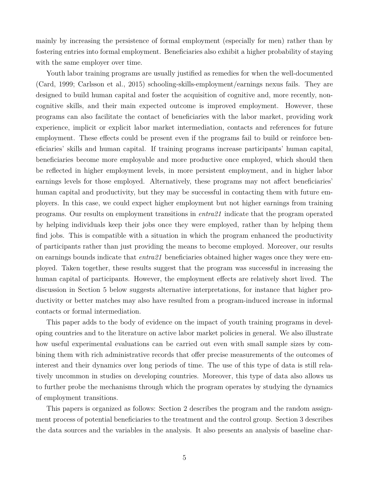mainly by increasing the persistence of formal employment (especially for men) rather than by fostering entries into formal employment. Beneficiaries also exhibit a higher probability of staying with the same employer over time.

Youth labor training programs are usually justified as remedies for when the well-documented (Card, 1999; Carlsson et al., 2015) schooling-skills-employment/earnings nexus fails. They are designed to build human capital and foster the acquisition of cognitive and, more recently, noncognitive skills, and their main expected outcome is improved employment. However, these programs can also facilitate the contact of beneficiaries with the labor market, providing work experience, implicit or explicit labor market intermediation, contacts and references for future employment. These effects could be present even if the programs fail to build or reinforce beneficiaries' skills and human capital. If training programs increase participants' human capital, beneficiaries become more employable and more productive once employed, which should then be reflected in higher employment levels, in more persistent employment, and in higher labor earnings levels for those employed. Alternatively, these programs may not affect beneficiaries' human capital and productivity, but they may be successful in contacting them with future employers. In this case, we could expect higher employment but not higher earnings from training programs. Our results on employment transitions in *entra21* indicate that the program operated by helping individuals keep their jobs once they were employed, rather than by helping them find jobs. This is compatible with a situation in which the program enhanced the productivity of participants rather than just providing the means to become employed. Moreover, our results on earnings bounds indicate that *entra21* beneficiaries obtained higher wages once they were employed. Taken together, these results suggest that the program was successful in increasing the human capital of participants. However, the employment effects are relatively short lived. The discussion in Section 5 below suggests alternative interpretations, for instance that higher productivity or better matches may also have resulted from a program-induced increase in informal contacts or formal intermediation.

This paper adds to the body of evidence on the impact of youth training programs in developing countries and to the literature on active labor market policies in general. We also illustrate how useful experimental evaluations can be carried out even with small sample sizes by combining them with rich administrative records that offer precise measurements of the outcomes of interest and their dynamics over long periods of time. The use of this type of data is still relatively uncommon in studies on developing countries. Moreover, this type of data also allows us to further probe the mechanisms through which the program operates by studying the dynamics of employment transitions.

This papers is organized as follows: Section 2 describes the program and the random assignment process of potential beneficiaries to the treatment and the control group. Section 3 describes the data sources and the variables in the analysis. It also presents an analysis of baseline char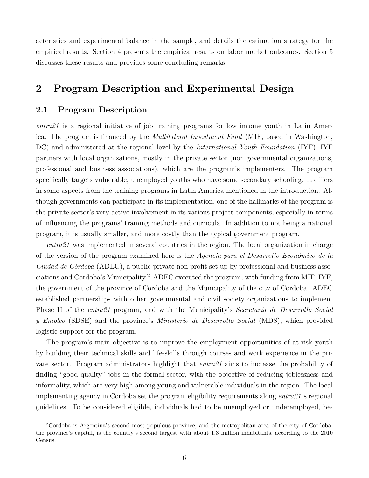acteristics and experimental balance in the sample, and details the estimation strategy for the empirical results. Section 4 presents the empirical results on labor market outcomes. Section 5 discusses these results and provides some concluding remarks.

# **2 Program Description and Experimental Design**

### **2.1 Program Description**

*entra21* is a regional initiative of job training programs for low income youth in Latin America. The program is financed by the *Multilateral Investment Fund* (MIF, based in Washington, DC) and administered at the regional level by the *International Youth Foundation* (IYF). IYF partners with local organizations, mostly in the private sector (non governmental organizations, professional and business associations), which are the program's implementers. The program specifically targets vulnerable, unemployed youths who have some secondary schooling. It differs in some aspects from the training programs in Latin America mentioned in the introduction. Although governments can participate in its implementation, one of the hallmarks of the program is the private sector's very active involvement in its various project components, especially in terms of influencing the programs' training methods and curricula. In addition to not being a national program, it is usually smaller, and more costly than the typical government program.

*entra21* was implemented in several countries in the region. The local organization in charge of the version of the program examined here is the *Agencia para el Desarrollo Económico de la Ciudad de Córdoba* (ADEC), a public-private non-profit set up by professional and business associations and Cordoba's Municipality.<sup>2</sup> ADEC executed the program, with funding from MIF, IYF, the government of the province of Cordoba and the Municipality of the city of Cordoba. ADEC established partnerships with other governmental and civil society organizations to implement Phase II of the *entra21* program, and with the Municipality's *Secretaría de Desarrollo Social y Empleo* (SDSE) and the province's *Ministerio de Desarrollo Social* (MDS), which provided logistic support for the program.

The program's main objective is to improve the employment opportunities of at-risk youth by building their technical skills and life-skills through courses and work experience in the private sector. Program administrators highlight that *entra21* aims to increase the probability of finding "good quality" jobs in the formal sector, with the objective of reducing joblessness and informality, which are very high among young and vulnerable individuals in the region. The local implementing agency in Cordoba set the program eligibility requirements along *entra21* 's regional guidelines. To be considered eligible, individuals had to be unemployed or underemployed, be-

<sup>2</sup>Cordoba is Argentina's second most populous province, and the metropolitan area of the city of Cordoba, the province's capital, is the country's second largest with about 1.3 million inhabitants, according to the 2010 Census.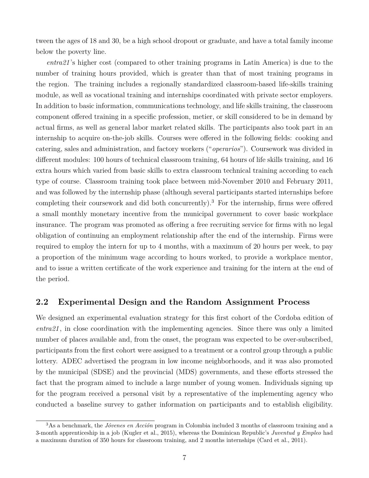tween the ages of 18 and 30, be a high school dropout or graduate, and have a total family income below the poverty line.

*entra21* 's higher cost (compared to other training programs in Latin America) is due to the number of training hours provided, which is greater than that of most training programs in the region. The training includes a regionally standardized classroom-based life-skills training module, as well as vocational training and internships coordinated with private sector employers. In addition to basic information, communications technology, and life skills training, the classroom component offered training in a specific profession, metier, or skill considered to be in demand by actual firms, as well as general labor market related skills. The participants also took part in an internship to acquire on-the-job skills. Courses were offered in the following fields: cooking and catering, sales and administration, and factory workers ("*operarios*"). Coursework was divided in different modules: 100 hours of technical classroom training, 64 hours of life skills training, and 16 extra hours which varied from basic skills to extra classroom technical training according to each type of course. Classroom training took place between mid-November 2010 and February 2011, and was followed by the internship phase (although several participants started internships before completing their coursework and did both concurrently).<sup>3</sup> For the internship, firms were offered a small monthly monetary incentive from the municipal government to cover basic workplace insurance. The program was promoted as offering a free recruiting service for firms with no legal obligation of continuing an employment relationship after the end of the internship. Firms were required to employ the intern for up to 4 months, with a maximum of 20 hours per week, to pay a proportion of the minimum wage according to hours worked, to provide a workplace mentor, and to issue a written certificate of the work experience and training for the intern at the end of the period.

#### **2.2 Experimental Design and the Random Assignment Process**

We designed an experimental evaluation strategy for this first cohort of the Cordoba edition of *entra21* , in close coordination with the implementing agencies. Since there was only a limited number of places available and, from the onset, the program was expected to be over-subscribed, participants from the first cohort were assigned to a treatment or a control group through a public lottery. ADEC advertised the program in low income neighborhoods, and it was also promoted by the municipal (SDSE) and the provincial (MDS) governments, and these efforts stressed the fact that the program aimed to include a large number of young women. Individuals signing up for the program received a personal visit by a representative of the implementing agency who conducted a baseline survey to gather information on participants and to establish eligibility.

<sup>3</sup>As a benchmark, the *Jóvenes en Acción* program in Colombia included 3 months of classroom training and a 3-month apprenticeship in a job (Kugler et al., 2015), whereas the Dominican Republic's *Juventud y Empleo* had a maximum duration of 350 hours for classroom training, and 2 months internships (Card et al., 2011).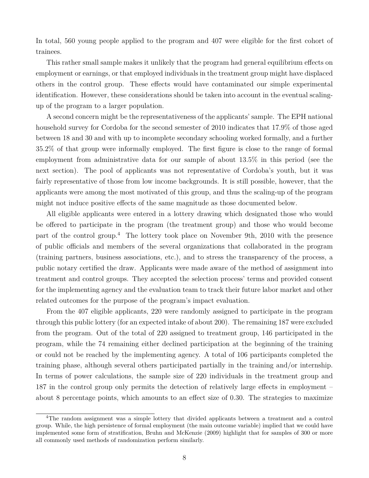In total, 560 young people applied to the program and 407 were eligible for the first cohort of trainees.

This rather small sample makes it unlikely that the program had general equilibrium effects on employment or earnings, or that employed individuals in the treatment group might have displaced others in the control group. These effects would have contaminated our simple experimental identification. However, these considerations should be taken into account in the eventual scalingup of the program to a larger population.

A second concern might be the representativeness of the applicants' sample. The EPH national household survey for Cordoba for the second semester of 2010 indicates that 17.9% of those aged between 18 and 30 and with up to incomplete secondary schooling worked formally, and a further 35.2% of that group were informally employed. The first figure is close to the range of formal employment from administrative data for our sample of about 13.5% in this period (see the next section). The pool of applicants was not representative of Cordoba's youth, but it was fairly representative of those from low income backgrounds. It is still possible, however, that the applicants were among the most motivated of this group, and thus the scaling-up of the program might not induce positive effects of the same magnitude as those documented below.

All eligible applicants were entered in a lottery drawing which designated those who would be offered to participate in the program (the treatment group) and those who would become part of the control group.<sup>4</sup> The lottery took place on November 9th, 2010 with the presence of public officials and members of the several organizations that collaborated in the program (training partners, business associations, etc.), and to stress the transparency of the process, a public notary certified the draw. Applicants were made aware of the method of assignment into treatment and control groups. They accepted the selection process' terms and provided consent for the implementing agency and the evaluation team to track their future labor market and other related outcomes for the purpose of the program's impact evaluation.

From the 407 eligible applicants, 220 were randomly assigned to participate in the program through this public lottery (for an expected intake of about 200). The remaining 187 were excluded from the program. Out of the total of 220 assigned to treatment group, 146 participated in the program, while the 74 remaining either declined participation at the beginning of the training or could not be reached by the implementing agency. A total of 106 participants completed the training phase, although several others participated partially in the training and/or internship. In terms of power calculations, the sample size of 220 individuals in the treatment group and 187 in the control group only permits the detection of relatively large effects in employment – about 8 percentage points, which amounts to an effect size of 0.30. The strategies to maximize

<sup>&</sup>lt;sup>4</sup>The random assignment was a simple lottery that divided applicants between a treatment and a control group. While, the high persistence of formal employment (the main outcome variable) implied that we could have implemented some form of stratification, Bruhn and McKenzie (2009) highlight that for samples of 300 or more all commonly used methods of randomization perform similarly.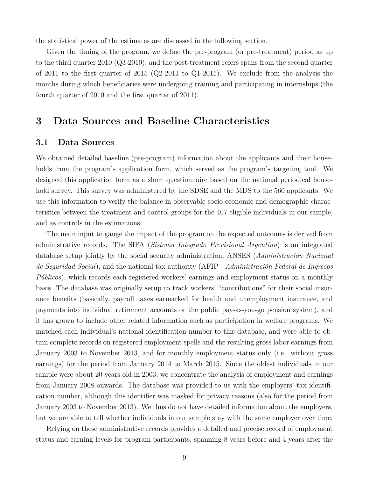the statistical power of the estimates are discussed in the following section.

Given the timing of the program, we define the pre-program (or pre-treatment) period as up to the third quarter 2010 (Q3-2010), and the post-treatment refers spans from the second quarter of 2011 to the first quarter of 2015 (Q2-2011 to Q1-2015). We exclude from the analysis the months during which beneficiaries were undergoing training and participating in internships (the fourth quarter of 2010 and the first quarter of 2011).

## **3 Data Sources and Baseline Characteristics**

#### **3.1 Data Sources**

We obtained detailed baseline (pre-program) information about the applicants and their households from the program's application form, which served as the program's targeting tool. We designed this application form as a short questionnaire based on the national periodical household survey. This survey was administered by the SDSE and the MDS to the 560 applicants. We use this information to verify the balance in observable socio-economic and demographic characteristics between the treatment and control groups for the 407 eligible individuals in our sample, and as controls in the estimations.

The main input to gauge the impact of the program on the expected outcomes is derived from administrative records. The SIPA (*Sistema Integrado Previsional Argentino*) is an integrated database setup jointly by the social security administration, ANSES (*Administración Nacional de Seguridad Social*), and the national tax authority (AFIP - *Administración Federal de Ingresos Públicos*), which records each registered workers' earnings and employment status on a monthly basis. The database was originally setup to track workers' "contributions" for their social insurance benefits (basically, payroll taxes earmarked for health and unemployment insurance, and payments into individual retirement accounts or the public pay-as-you-go pension system), and it has grown to include other related information such as participation in welfare programs. We matched each individual's national identification number to this database, and were able to obtain complete records on registered employment spells and the resulting gross labor earnings from January 2003 to November 2013, and for monthly employment status only (i.e., without gross earnings) for the period from January 2014 to March 2015. Since the oldest individuals in our sample were about 20 years old in 2003, we concentrate the analysis of employment and earnings from January 2008 onwards. The database was provided to us with the employers' tax identification number, although this identifier was masked for privacy reasons (also for the period from January 2003 to November 2013). We thus do not have detailed information about the employers, but we are able to tell whether individuals in our sample stay with the same employer over time.

Relying on these administrative records provides a detailed and precise record of employment status and earning levels for program participants, spanning 8 years before and 4 years after the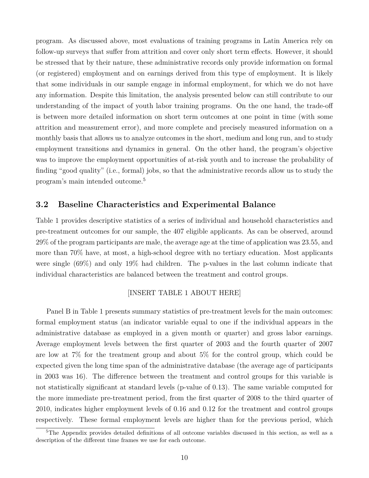program. As discussed above, most evaluations of training programs in Latin America rely on follow-up surveys that suffer from attrition and cover only short term effects. However, it should be stressed that by their nature, these administrative records only provide information on formal (or registered) employment and on earnings derived from this type of employment. It is likely that some individuals in our sample engage in informal employment, for which we do not have any information. Despite this limitation, the analysis presented below can still contribute to our understanding of the impact of youth labor training programs. On the one hand, the trade-off is between more detailed information on short term outcomes at one point in time (with some attrition and measurement error), and more complete and precisely measured information on a monthly basis that allows us to analyze outcomes in the short, medium and long run, and to study employment transitions and dynamics in general. On the other hand, the program's objective was to improve the employment opportunities of at-risk youth and to increase the probability of finding "good quality" (i.e., formal) jobs, so that the administrative records allow us to study the program's main intended outcome.<sup>5</sup>

#### **3.2 Baseline Characteristics and Experimental Balance**

Table 1 provides descriptive statistics of a series of individual and household characteristics and pre-treatment outcomes for our sample, the 407 eligible applicants. As can be observed, around 29% of the program participants are male, the average age at the time of application was 23.55, and more than 70% have, at most, a high-school degree with no tertiary education. Most applicants were single (69%) and only 19% had children. The p-values in the last column indicate that individual characteristics are balanced between the treatment and control groups.

#### [INSERT TABLE 1 ABOUT HERE]

Panel B in Table 1 presents summary statistics of pre-treatment levels for the main outcomes: formal employment status (an indicator variable equal to one if the individual appears in the administrative database as employed in a given month or quarter) and gross labor earnings. Average employment levels between the first quarter of 2003 and the fourth quarter of 2007 are low at 7% for the treatment group and about 5% for the control group, which could be expected given the long time span of the administrative database (the average age of participants in 2003 was 16). The difference between the treatment and control groups for this variable is not statistically significant at standard levels (p-value of 0.13). The same variable computed for the more immediate pre-treatment period, from the first quarter of 2008 to the third quarter of 2010, indicates higher employment levels of 0.16 and 0.12 for the treatment and control groups respectively. These formal employment levels are higher than for the previous period, which

<sup>5</sup>The Appendix provides detailed definitions of all outcome variables discussed in this section, as well as a description of the different time frames we use for each outcome.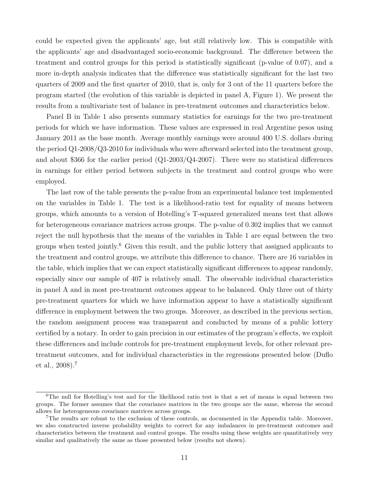could be expected given the applicants' age, but still relatively low. This is compatible with the applicants' age and disadvantaged socio-economic background. The difference between the treatment and control groups for this period is statistically significant (p-value of 0.07), and a more in-depth analysis indicates that the difference was statistically significant for the last two quarters of 2009 and the first quarter of 2010, that is, only for 3 out of the 11 quarters before the program started (the evolution of this variable is depicted in panel A, Figure 1). We present the results from a multivariate test of balance in pre-treatment outcomes and characteristics below.

Panel B in Table 1 also presents summary statistics for earnings for the two pre-treatment periods for which we have information. These values are expressed in real Argentine pesos using January 2011 as the base month. Average monthly earnings were around 400 U.S. dollars during the period Q1-2008/Q3-2010 for individuals who were afterward selected into the treatment group, and about \$366 for the earlier period  $(Q1-2003/Q4-2007)$ . There were no statistical differences in earnings for either period between subjects in the treatment and control groups who were employed.

The last row of the table presents the p-value from an experimental balance test implemented on the variables in Table 1. The test is a likelihood-ratio test for equality of means between groups, which amounts to a version of Hotelling's T-squared generalized means test that allows for heterogeneous covariance matrices across groups. The p-value of 0.302 implies that we cannot reject the null hypothesis that the means of the variables in Table 1 are equal between the two groups when tested jointly.<sup>6</sup> Given this result, and the public lottery that assigned applicants to the treatment and control groups, we attribute this difference to chance. There are 16 variables in the table, which implies that we can expect statistically significant differences to appear randomly, especially since our sample of 407 is relatively small. The observable individual characteristics in panel A and in most pre-treatment outcomes appear to be balanced. Only three out of thirty pre-treatment quarters for which we have information appear to have a statistically significant difference in employment between the two groups. Moreover, as described in the previous section, the random assignment process was transparent and conducted by means of a public lottery certified by a notary. In order to gain precision in our estimates of the program's effects, we exploit these differences and include controls for pre-treatment employment levels, for other relevant pretreatment outcomes, and for individual characteristics in the regressions presented below (Duflo et al., 2008).<sup>7</sup>

<sup>&</sup>lt;sup>6</sup>The null for Hotelling's test and for the likelihood ratio test is that a set of means is equal between two groups. The former assumes that the covariance matrices in the two groups are the same, whereas the second allows for heterogeneous covariance matrices across groups.

<sup>7</sup>The results are robust to the exclusion of these controls, as documented in the Appendix table. Moreover, we also constructed inverse probability weights to correct for any imbalances in pre-treatment outcomes and characteristics between the treatment and control groups. The results using these weights are quantitatively very similar and qualitatively the same as those presented below (results not shown).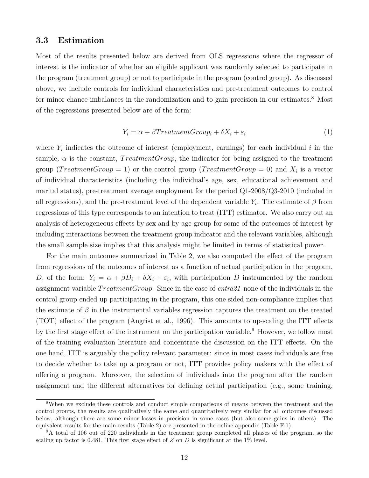#### **3.3 Estimation**

Most of the results presented below are derived from OLS regressions where the regressor of interest is the indicator of whether an eligible applicant was randomly selected to participate in the program (treatment group) or not to participate in the program (control group). As discussed above, we include controls for individual characteristics and pre-treatment outcomes to control for minor chance imbalances in the randomization and to gain precision in our estimates.<sup>8</sup> Most of the regressions presented below are of the form:

$$
Y_i = \alpha + \beta TreatmentGroup_i + \delta X_i + \varepsilon_i \tag{1}
$$

where  $Y_i$  indicates the outcome of interest (employment, earnings) for each individual  $i$  in the sample,  $\alpha$  is the constant, *TreatmentGroup<sub>i</sub>* the indicator for being assigned to the treatment group (*TreatmentGroup* = 1) or the control group (*TreatmentGroup* = 0) and  $X_i$  is a vector of individual characteristics (including the individual's age, sex, educational achievement and marital status), pre-treatment average employment for the period Q1-2008/Q3-2010 (included in all regressions), and the pre-treatment level of the dependent variable  $Y_i$ . The estimate of  $\beta$  from regressions of this type corresponds to an intention to treat (ITT) estimator. We also carry out an analysis of heterogeneous effects by sex and by age group for some of the outcomes of interest by including interactions between the treatment group indicator and the relevant variables, although the small sample size implies that this analysis might be limited in terms of statistical power.

For the main outcomes summarized in Table 2, we also computed the effect of the program from regressions of the outcomes of interest as a function of actual participation in the program, *D*, of the form:  $Y_i = \alpha + \beta D_i + \delta X_i + \varepsilon_i$ , with participation *D* instrumented by the random assignment variable *T reatmentGroup*. Since in the case of *entra21* none of the individuals in the control group ended up participating in the program, this one sided non-compliance implies that the estimate of *β* in the instrumental variables regression captures the treatment on the treated (TOT) effect of the program (Angrist et al., 1996). This amounts to up-scaling the ITT effects by the first stage effect of the instrument on the participation variable.<sup>9</sup> However, we follow most of the training evaluation literature and concentrate the discussion on the ITT effects. On the one hand, ITT is arguably the policy relevant parameter: since in most cases individuals are free to decide whether to take up a program or not, ITT provides policy makers with the effect of offering a program. Moreover, the selection of individuals into the program after the random assignment and the different alternatives for defining actual participation (e.g., some training,

<sup>8</sup>When we exclude these controls and conduct simple comparisons of means between the treatment and the control groups, the results are qualitatively the same and quantitatively very similar for all outcomes discussed below, although there are some minor losses in precision in some cases (but also some gains in others). The equivalent results for the main results (Table 2) are presented in the online appendix (Table F.1).

<sup>9</sup>A total of 106 out of 220 individuals in the treatment group completed all phases of the program, so the scaling up factor is 0.481. This first stage effect of  $Z$  on  $D$  is significant at the 1% level.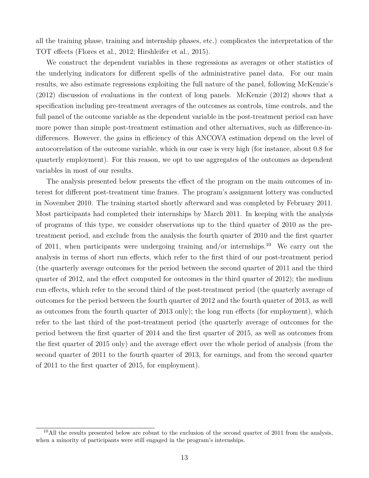all the training phase, training and internship phases, etc.) complicates the interpretation of the TOT effects (Flores et al., 2012; Hirshleifer et al., 2015).

We construct the dependent variables in these regressions as averages or other statistics of the underlying indicators for different spells of the administrative panel data. For our main results, we also estimate regressions exploiting the full nature of the panel, following McKenzie's (2012) discussion of evaluations in the context of long panels. McKenzie (2012) shows that a specification including pre-treatment averages of the outcomes as controls, time controls, and the full panel of the outcome variable as the dependent variable in the post-treatment period can have more power than simple post-treatment estimation and other alternatives, such as difference-indifferences. However, the gains in efficiency of this ANCOVA estimation depend on the level of autocorrelation of the outcome variable, which in our case is very high (for instance, about 0.8 for quarterly employment). For this reason, we opt to use aggregates of the outcomes as dependent variables in most of our results.

The analysis presented below presents the effect of the program on the main outcomes of interest for different post-treatment time frames. The program's assignment lottery was conducted in November 2010. The training started shortly afterward and was completed by February 2011. Most participants had completed their internships by March 2011. In keeping with the analysis of programs of this type, we consider observations up to the third quarter of 2010 as the pretreatment period, and exclude from the analysis the fourth quarter of 2010 and the first quarter of 2011, when participants were undergoing training and/or internships.<sup>10</sup> We carry out the analysis in terms of short run effects, which refer to the first third of our post-treatment period (the quarterly average outcomes for the period between the second quarter of 2011 and the third quarter of 2012, and the effect computed for outcomes in the third quarter of 2012); the medium run effects, which refer to the second third of the post-treatment period (the quarterly average of outcomes for the period between the fourth quarter of 2012 and the fourth quarter of 2013, as well as outcomes from the fourth quarter of 2013 only); the long run effects (for employment), which refer to the last third of the post-treatment period (the quarterly average of outcomes for the period between the first quarter of 2014 and the first quarter of 2015, as well as outcomes from the first quarter of 2015 only) and the average effect over the whole period of analysis (from the second quarter of 2011 to the fourth quarter of 2013, for earnings, and from the second quarter of 2011 to the first quarter of 2015, for employment).

 $10$ All the results presented below are robust to the exclusion of the second quarter of 2011 from the analysis, when a minority of participants were still engaged in the program's internships.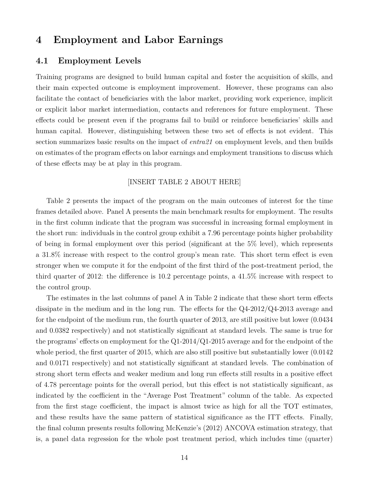## **4 Employment and Labor Earnings**

#### **4.1 Employment Levels**

Training programs are designed to build human capital and foster the acquisition of skills, and their main expected outcome is employment improvement. However, these programs can also facilitate the contact of beneficiaries with the labor market, providing work experience, implicit or explicit labor market intermediation, contacts and references for future employment. These effects could be present even if the programs fail to build or reinforce beneficiaries' skills and human capital. However, distinguishing between these two set of effects is not evident. This section summarizes basic results on the impact of *entra21* on employment levels, and then builds on estimates of the program effects on labor earnings and employment transitions to discuss which of these effects may be at play in this program.

#### [INSERT TABLE 2 ABOUT HERE]

Table 2 presents the impact of the program on the main outcomes of interest for the time frames detailed above. Panel A presents the main benchmark results for employment. The results in the first column indicate that the program was successful in increasing formal employment in the short run: individuals in the control group exhibit a 7.96 percentage points higher probability of being in formal employment over this period (significant at the 5% level), which represents a 31.8% increase with respect to the control group's mean rate. This short term effect is even stronger when we compute it for the endpoint of the first third of the post-treatment period, the third quarter of 2012: the difference is 10.2 percentage points, a 41.5% increase with respect to the control group.

The estimates in the last columns of panel A in Table 2 indicate that these short term effects dissipate in the medium and in the long run. The effects for the Q4-2012/Q4-2013 average and for the endpoint of the medium run, the fourth quarter of 2013, are still positive but lower (0.0434 and 0.0382 respectively) and not statistically significant at standard levels. The same is true for the programs' effects on employment for the Q1-2014/Q1-2015 average and for the endpoint of the whole period, the first quarter of 2015, which are also still positive but substantially lower  $(0.0142)$ and 0.0171 respectively) and not statistically significant at standard levels. The combination of strong short term effects and weaker medium and long run effects still results in a positive effect of 4.78 percentage points for the overall period, but this effect is not statistically significant, as indicated by the coefficient in the "Average Post Treatment" column of the table. As expected from the first stage coefficient, the impact is almost twice as high for all the TOT estimates, and these results have the same pattern of statistical significance as the ITT effects. Finally, the final column presents results following McKenzie's (2012) ANCOVA estimation strategy, that is, a panel data regression for the whole post treatment period, which includes time (quarter)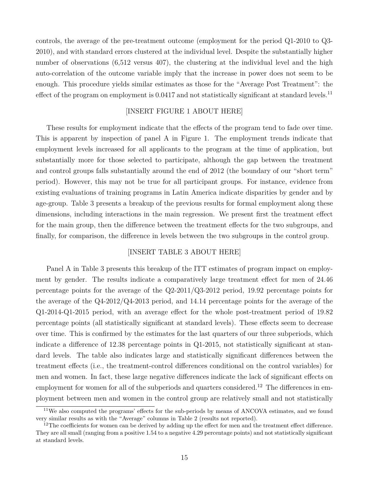controls, the average of the pre-treatment outcome (employment for the period Q1-2010 to Q3- 2010), and with standard errors clustered at the individual level. Despite the substantially higher number of observations (6,512 versus 407), the clustering at the individual level and the high auto-correlation of the outcome variable imply that the increase in power does not seem to be enough. This procedure yields similar estimates as those for the "Average Post Treatment": the effect of the program on employment is  $0.0417$  and not statistically significant at standard levels.<sup>11</sup>

#### [INSERT FIGURE 1 ABOUT HERE]

These results for employment indicate that the effects of the program tend to fade over time. This is apparent by inspection of panel A in Figure 1. The employment trends indicate that employment levels increased for all applicants to the program at the time of application, but substantially more for those selected to participate, although the gap between the treatment and control groups falls substantially around the end of 2012 (the boundary of our "short term" period). However, this may not be true for all participant groups. For instance, evidence from existing evaluations of training programs in Latin America indicate disparities by gender and by age-group. Table 3 presents a breakup of the previous results for formal employment along these dimensions, including interactions in the main regression. We present first the treatment effect for the main group, then the difference between the treatment effects for the two subgroups, and finally, for comparison, the difference in levels between the two subgroups in the control group.

#### [INSERT TABLE 3 ABOUT HERE]

Panel A in Table 3 presents this breakup of the ITT estimates of program impact on employment by gender. The results indicate a comparatively large treatment effect for men of 24.46 percentage points for the average of the Q2-2011/Q3-2012 period, 19.92 percentage points for the average of the Q4-2012/Q4-2013 period, and 14.14 percentage points for the average of the Q1-2014-Q1-2015 period, with an average effect for the whole post-treatment period of 19.82 percentage points (all statistically significant at standard levels). These effects seem to decrease over time. This is confirmed by the estimates for the last quarters of our three subperiods, which indicate a difference of 12.38 percentage points in Q1-2015, not statistically significant at standard levels. The table also indicates large and statistically significant differences between the treatment effects (i.e., the treatment-control differences conditional on the control variables) for men and women. In fact, these large negative differences indicate the lack of significant effects on employment for women for all of the subperiods and quarters considered.<sup>12</sup> The differences in employment between men and women in the control group are relatively small and not statistically

<sup>&</sup>lt;sup>11</sup>We also computed the programs' effects for the sub-periods by means of ANCOVA estimates, and we found very similar results as with the "Average" columns in Table 2 (results not reported).

 $12$ The coefficients for women can be derived by adding up the effect for men and the treatment effect difference. They are all small (ranging from a positive 1.54 to a negative 4.29 percentage points) and not statistically significant at standard levels.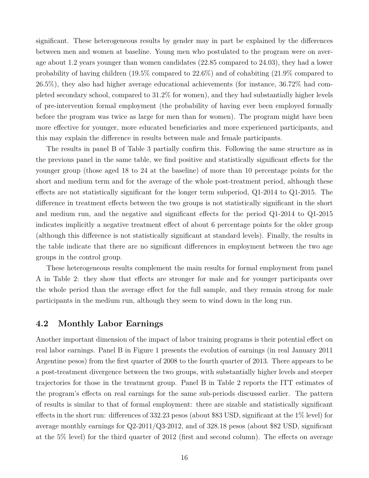significant. These heterogeneous results by gender may in part be explained by the differences between men and women at baseline. Young men who postulated to the program were on average about 1.2 years younger than women candidates (22.85 compared to 24.03), they had a lower probability of having children (19.5% compared to 22.6%) and of cohabiting (21.9% compared to 26.5%), they also had higher average educational achievements (for instance, 36.72% had completed secondary school, compared to 31.2% for women), and they had substantially higher levels of pre-intervention formal employment (the probability of having ever been employed formally before the program was twice as large for men than for women). The program might have been more effective for younger, more educated beneficiaries and more experienced participants, and this may explain the difference in results between male and female participants.

The results in panel B of Table 3 partially confirm this. Following the same structure as in the previous panel in the same table, we find positive and statistically significant effects for the younger group (those aged 18 to 24 at the baseline) of more than 10 percentage points for the short and medium term and for the average of the whole post-treatment period, although these effects are not statistically significant for the longer term subperiod, Q1-2014 to Q1-2015. The difference in treatment effects between the two groups is not statistically significant in the short and medium run, and the negative and significant effects for the period Q1-2014 to Q1-2015 indicates implicitly a negative treatment effect of about 6 percentage points for the older group (although this difference is not statistically significant at standard levels). Finally, the results in the table indicate that there are no significant differences in employment between the two age groups in the control group.

These heterogeneous results complement the main results for formal employment from panel A in Table 2: they show that effects are stronger for male and for younger participants over the whole period than the average effect for the full sample, and they remain strong for male participants in the medium run, although they seem to wind down in the long run.

#### **4.2 Monthly Labor Earnings**

Another important dimension of the impact of labor training programs is their potential effect on real labor earnings. Panel B in Figure 1 presents the evolution of earnings (in real January 2011 Argentine pesos) from the first quarter of 2008 to the fourth quarter of 2013. There appears to be a post-treatment divergence between the two groups, with substantially higher levels and steeper trajectories for those in the treatment group. Panel B in Table 2 reports the ITT estimates of the program's effects on real earnings for the same sub-periods discussed earlier. The pattern of results is similar to that of formal employment: there are sizable and statistically significant effects in the short run: differences of 332.23 pesos (about \$83 USD, significant at the 1% level) for average monthly earnings for Q2-2011/Q3-2012, and of 328.18 pesos (about \$82 USD, significant at the 5% level) for the third quarter of 2012 (first and second column). The effects on average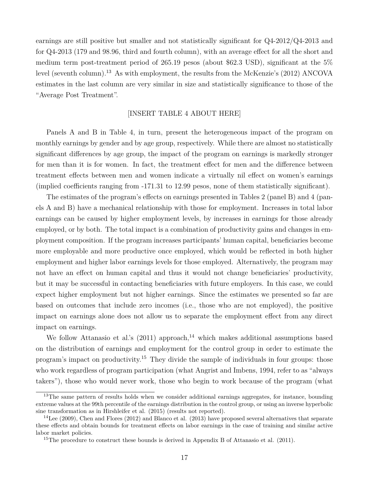earnings are still positive but smaller and not statistically significant for Q4-2012/Q4-2013 and for Q4-2013 (179 and 98.96, third and fourth column), with an average effect for all the short and medium term post-treatment period of 265.19 pesos (about \$62.3 USD), significant at the 5% level (seventh column).<sup>13</sup> As with employment, the results from the McKenzie's (2012) ANCOVA estimates in the last column are very similar in size and statistically significance to those of the "Average Post Treatment".

#### [INSERT TABLE 4 ABOUT HERE]

Panels A and B in Table 4, in turn, present the heterogeneous impact of the program on monthly earnings by gender and by age group, respectively. While there are almost no statistically significant differences by age group, the impact of the program on earnings is markedly stronger for men than it is for women. In fact, the treatment effect for men and the difference between treatment effects between men and women indicate a virtually nil effect on women's earnings (implied coefficients ranging from -171.31 to 12.99 pesos, none of them statistically significant).

The estimates of the program's effects on earnings presented in Tables 2 (panel B) and 4 (panels A and B) have a mechanical relationship with those for employment. Increases in total labor earnings can be caused by higher employment levels, by increases in earnings for those already employed, or by both. The total impact is a combination of productivity gains and changes in employment composition. If the program increases participants' human capital, beneficiaries become more employable and more productive once employed, which would be reflected in both higher employment and higher labor earnings levels for those employed. Alternatively, the program may not have an effect on human capital and thus it would not change beneficiaries' productivity, but it may be successful in contacting beneficiaries with future employers. In this case, we could expect higher employment but not higher earnings. Since the estimates we presented so far are based on outcomes that include zero incomes (i.e., those who are not employed), the positive impact on earnings alone does not allow us to separate the employment effect from any direct impact on earnings.

We follow Attanasio et al.'s  $(2011)$  approach,<sup>14</sup> which makes additional assumptions based on the distribution of earnings and employment for the control group in order to estimate the program's impact on productivity.<sup>15</sup> They divide the sample of individuals in four groups: those who work regardless of program participation (what Angrist and Imbens, 1994, refer to as "always takers"), those who would never work, those who begin to work because of the program (what

 $13$ The same pattern of results holds when we consider additional earnings aggregates, for instance, bounding extreme values at the 99th percentile of the earnings distribution in the control group, or using an inverse hyperbolic sine transformation as in Hirshleifer et al. (2015) (results not reported).

<sup>&</sup>lt;sup>14</sup>Lee (2009), Chen and Flores (2012) and Blanco et al. (2013) have proposed several alternatives that separate these effects and obtain bounds for treatment effects on labor earnings in the case of training and similar active labor market policies.

<sup>&</sup>lt;sup>15</sup>The procedure to construct these bounds is derived in Appendix B of Attanasio et al. (2011).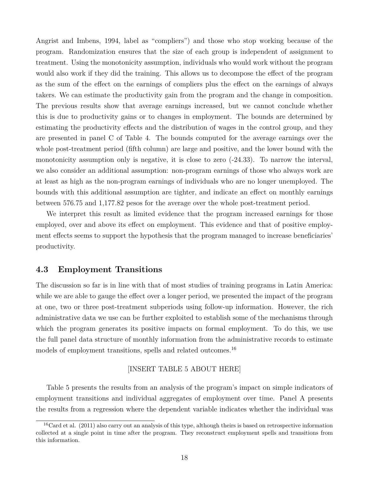Angrist and Imbens, 1994, label as "compliers") and those who stop working because of the program. Randomization ensures that the size of each group is independent of assignment to treatment. Using the monotonicity assumption, individuals who would work without the program would also work if they did the training. This allows us to decompose the effect of the program as the sum of the effect on the earnings of compliers plus the effect on the earnings of always takers. We can estimate the productivity gain from the program and the change in composition. The previous results show that average earnings increased, but we cannot conclude whether this is due to productivity gains or to changes in employment. The bounds are determined by estimating the productivity effects and the distribution of wages in the control group, and they are presented in panel C of Table 4. The bounds computed for the average earnings over the whole post-treatment period (fifth column) are large and positive, and the lower bound with the monotonicity assumption only is negative, it is close to zero (-24.33). To narrow the interval, we also consider an additional assumption: non-program earnings of those who always work are at least as high as the non-program earnings of individuals who are no longer unemployed. The bounds with this additional assumption are tighter, and indicate an effect on monthly earnings between 576.75 and 1,177.82 pesos for the average over the whole post-treatment period.

We interpret this result as limited evidence that the program increased earnings for those employed, over and above its effect on employment. This evidence and that of positive employment effects seems to support the hypothesis that the program managed to increase beneficiaries' productivity.

#### **4.3 Employment Transitions**

The discussion so far is in line with that of most studies of training programs in Latin America: while we are able to gauge the effect over a longer period, we presented the impact of the program at one, two or three post-treatment subperiods using follow-up information. However, the rich administrative data we use can be further exploited to establish some of the mechanisms through which the program generates its positive impacts on formal employment. To do this, we use the full panel data structure of monthly information from the administrative records to estimate models of employment transitions, spells and related outcomes.<sup>16</sup>

#### [INSERT TABLE 5 ABOUT HERE]

Table 5 presents the results from an analysis of the program's impact on simple indicators of employment transitions and individual aggregates of employment over time. Panel A presents the results from a regression where the dependent variable indicates whether the individual was

<sup>16</sup>Card et al. (2011) also carry out an analysis of this type, although theirs is based on retrospective information collected at a single point in time after the program. They reconstruct employment spells and transitions from this information.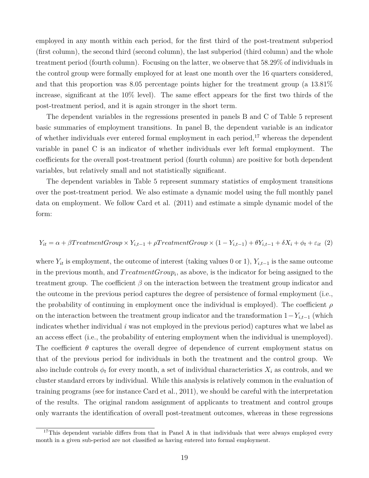employed in any month within each period, for the first third of the post-treatment subperiod (first column), the second third (second column), the last subperiod (third column) and the whole treatment period (fourth column). Focusing on the latter, we observe that 58.29% of individuals in the control group were formally employed for at least one month over the 16 quarters considered, and that this proportion was 8.05 percentage points higher for the treatment group (a 13.81% increase, significant at the 10% level). The same effect appears for the first two thirds of the post-treatment period, and it is again stronger in the short term.

The dependent variables in the regressions presented in panels B and C of Table 5 represent basic summaries of employment transitions. In panel B, the dependent variable is an indicator of whether individuals ever entered formal employment in each period,<sup>17</sup> whereas the dependent variable in panel C is an indicator of whether individuals ever left formal employment. The coefficients for the overall post-treatment period (fourth column) are positive for both dependent variables, but relatively small and not statistically significant.

The dependent variables in Table 5 represent summary statistics of employment transitions over the post-treatment period. We also estimate a dynamic model using the full monthly panel data on employment. We follow Card et al. (2011) and estimate a simple dynamic model of the form:

$$
Y_{it} = \alpha + \beta TreatmentGroup \times Y_{i,t-1} + \rho TreatmentGroup \times (1 - Y_{i,t-1}) + \theta Y_{i,t-1} + \delta X_i + \phi_t + \varepsilon_{it} (2)
$$

where  $Y_{it}$  is employment, the outcome of interest (taking values 0 or 1),  $Y_{i,t-1}$  is the same outcome in the previous month, and  $TreatmentGroup_i$ , as above, is the indicator for being assigned to the treatment group. The coefficient *β* on the interaction between the treatment group indicator and the outcome in the previous period captures the degree of persistence of formal employment (i.e., the probability of continuing in employment once the individual is employed). The coefficient *ρ* on the interaction between the treatment group indicator and the transformation  $1-Y_{i,t-1}$  (which indicates whether individual *i* was not employed in the previous period) captures what we label as an access effect (i.e., the probability of entering employment when the individual is unemployed)*.* The coefficient  $\theta$  captures the overall degree of dependence of current employment status on that of the previous period for individuals in both the treatment and the control group. We also include controls  $\phi_t$  for every month, a set of individual characteristics  $X_i$  as controls, and we cluster standard errors by individual. While this analysis is relatively common in the evaluation of training programs (see for instance Card et al., 2011), we should be careful with the interpretation of the results. The original random assignment of applicants to treatment and control groups only warrants the identification of overall post-treatment outcomes, whereas in these regressions

<sup>&</sup>lt;sup>17</sup>This dependent variable differs from that in Panel A in that individuals that were always employed every month in a given sub-period are not classified as having entered into formal employment.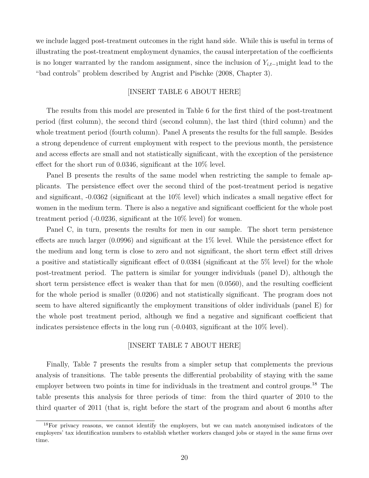we include lagged post-treatment outcomes in the right hand side. While this is useful in terms of illustrating the post-treatment employment dynamics, the causal interpretation of the coefficients is no longer warranted by the random assignment, since the inclusion of *Yi,t*−1might lead to the "bad controls" problem described by Angrist and Pischke (2008, Chapter 3).

#### [INSERT TABLE 6 ABOUT HERE]

The results from this model are presented in Table 6 for the first third of the post-treatment period (first column), the second third (second column), the last third (third column) and the whole treatment period (fourth column). Panel A presents the results for the full sample. Besides a strong dependence of current employment with respect to the previous month, the persistence and access effects are small and not statistically significant, with the exception of the persistence effect for the short run of 0.0346, significant at the 10% level.

Panel B presents the results of the same model when restricting the sample to female applicants. The persistence effect over the second third of the post-treatment period is negative and significant, -0.0362 (significant at the 10% level) which indicates a small negative effect for women in the medium term. There is also a negative and significant coefficient for the whole post treatment period (-0.0236, significant at the 10% level) for women.

Panel C, in turn, presents the results for men in our sample. The short term persistence effects are much larger  $(0.0996)$  and significant at the 1% level. While the persistence effect for the medium and long term is close to zero and not significant, the short term effect still drives a positive and statistically significant effect of 0.0384 (significant at the 5% level) for the whole post-treatment period. The pattern is similar for younger individuals (panel D), although the short term persistence effect is weaker than that for men (0.0560), and the resulting coefficient for the whole period is smaller (0.0206) and not statistically significant. The program does not seem to have altered significantly the employment transitions of older individuals (panel E) for the whole post treatment period, although we find a negative and significant coefficient that indicates persistence effects in the long run (-0.0403, significant at the 10% level).

#### [INSERT TABLE 7 ABOUT HERE]

Finally, Table 7 presents the results from a simpler setup that complements the previous analysis of transitions. The table presents the differential probability of staying with the same employer between two points in time for individuals in the treatment and control groups.<sup>18</sup> The table presents this analysis for three periods of time: from the third quarter of 2010 to the third quarter of 2011 (that is, right before the start of the program and about 6 months after

<sup>&</sup>lt;sup>18</sup>For privacy reasons, we cannot identify the employers, but we can match anonymised indicators of the employers' tax identification numbers to establish whether workers changed jobs or stayed in the same firms over time.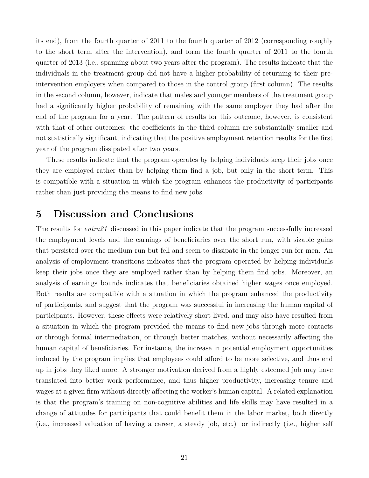its end), from the fourth quarter of 2011 to the fourth quarter of 2012 (corresponding roughly to the short term after the intervention), and form the fourth quarter of 2011 to the fourth quarter of 2013 (i.e., spanning about two years after the program). The results indicate that the individuals in the treatment group did not have a higher probability of returning to their preintervention employers when compared to those in the control group (first column). The results in the second column, however, indicate that males and younger members of the treatment group had a significantly higher probability of remaining with the same employer they had after the end of the program for a year. The pattern of results for this outcome, however, is consistent with that of other outcomes: the coefficients in the third column are substantially smaller and not statistically significant, indicating that the positive employment retention results for the first year of the program dissipated after two years.

These results indicate that the program operates by helping individuals keep their jobs once they are employed rather than by helping them find a job, but only in the short term. This is compatible with a situation in which the program enhances the productivity of participants rather than just providing the means to find new jobs.

## **5 Discussion and Conclusions**

The results for *entra21* discussed in this paper indicate that the program successfully increased the employment levels and the earnings of beneficiaries over the short run, with sizable gains that persisted over the medium run but fell and seem to dissipate in the longer run for men. An analysis of employment transitions indicates that the program operated by helping individuals keep their jobs once they are employed rather than by helping them find jobs. Moreover, an analysis of earnings bounds indicates that beneficiaries obtained higher wages once employed. Both results are compatible with a situation in which the program enhanced the productivity of participants, and suggest that the program was successful in increasing the human capital of participants. However, these effects were relatively short lived, and may also have resulted from a situation in which the program provided the means to find new jobs through more contacts or through formal intermediation, or through better matches, without necessarily affecting the human capital of beneficiaries. For instance, the increase in potential employment opportunities induced by the program implies that employees could afford to be more selective, and thus end up in jobs they liked more. A stronger motivation derived from a highly esteemed job may have translated into better work performance, and thus higher productivity, increasing tenure and wages at a given firm without directly affecting the worker's human capital. A related explanation is that the program's training on non-cognitive abilities and life skills may have resulted in a change of attitudes for participants that could benefit them in the labor market, both directly (i.e., increased valuation of having a career, a steady job, etc.) or indirectly (i.e., higher self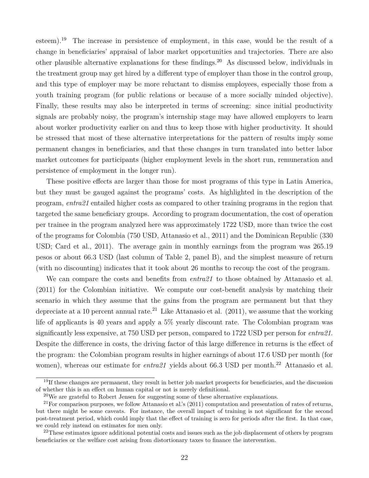esteem).<sup>19</sup> The increase in persistence of employment, in this case, would be the result of a change in beneficiaries' appraisal of labor market opportunities and trajectories. There are also other plausible alternative explanations for these findings.<sup>20</sup> As discussed below, individuals in the treatment group may get hired by a different type of employer than those in the control group, and this type of employer may be more reluctant to dismiss employees, especially those from a youth training program (for public relations or because of a more socially minded objective). Finally, these results may also be interpreted in terms of screening: since initial productivity signals are probably noisy, the program's internship stage may have allowed employers to learn about worker productivity earlier on and thus to keep those with higher productivity. It should be stressed that most of these alternative interpretations for the pattern of results imply some permanent changes in beneficiaries, and that these changes in turn translated into better labor market outcomes for participants (higher employment levels in the short run, remuneration and persistence of employment in the longer run).

These positive effects are larger than those for most programs of this type in Latin America, but they must be gauged against the programs' costs. As highlighted in the description of the program, *entra21* entailed higher costs as compared to other training programs in the region that targeted the same beneficiary groups. According to program documentation, the cost of operation per trainee in the program analyzed here was approximately 1722 USD, more than twice the cost of the programs for Colombia (750 USD, Attanasio et al., 2011) and the Dominican Republic (330 USD; Card et al., 2011). The average gain in monthly earnings from the program was 265.19 pesos or about 66.3 USD (last column of Table 2, panel B), and the simplest measure of return (with no discounting) indicates that it took about 26 months to recoup the cost of the program.

We can compare the costs and benefits from *entra21* to those obtained by Attanasio et al. (2011) for the Colombian initiative. We compute our cost-benefit analysis by matching their scenario in which they assume that the gains from the program are permanent but that they depreciate at a 10 percent annual rate.<sup>21</sup> Like Attanasio et al.  $(2011)$ , we assume that the working life of applicants is 40 years and apply a 5% yearly discount rate. The Colombian program was significantly less expensive, at 750 USD per person, compared to 1722 USD per person for *entra21*. Despite the difference in costs, the driving factor of this large difference in returns is the effect of the program: the Colombian program results in higher earnings of about 17.6 USD per month (for women), whereas our estimate for *entra21* yields about 66.3 USD per month.<sup>22</sup> Attanasio et al.

 $19$ If these changes are permanent, they result in better job market prospects for beneficiaries, and the discussion of whether this is an effect on human capital or not is merely definitional.

 $20$ We are grateful to Robert Jensen for suggesting some of these alternative explanations.

 $^{21}$ For comparison purposes, we follow Attanasio et al.'s (2011) computation and presentation of rates of returns, but there might be some caveats. For instance, the overall impact of training is not significant for the second post-treatment period, which could imply that the effect of training is zero for periods after the first. In that case, we could rely instead on estimates for men only.

<sup>&</sup>lt;sup>22</sup>These estimates ignore additional potential costs and issues such as the job displacement of others by program beneficiaries or the welfare cost arising from distortionary taxes to finance the intervention.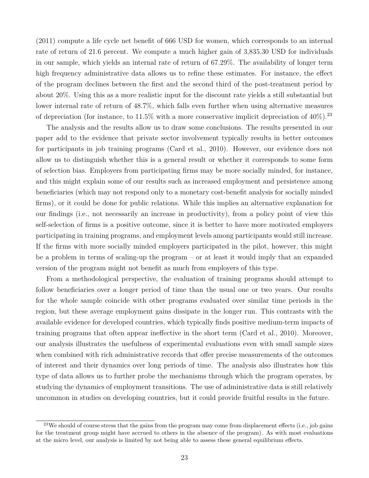(2011) compute a life cycle net benefit of 666 USD for women, which corresponds to an internal rate of return of 21.6 percent. We compute a much higher gain of 3,835.30 USD for individuals in our sample, which yields an internal rate of return of 67.29%. The availability of longer term high frequency administrative data allows us to refine these estimates. For instance, the effect of the program declines between the first and the second third of the post-treatment period by about 20%. Using this as a more realistic input for the discount rate yields a still substantial but lower internal rate of return of 48.7%, which falls even further when using alternative measures of depreciation (for instance, to 11.5% with a more conservative implicit depreciation of  $40\%$ ).<sup>23</sup>

The analysis and the results allow us to draw some conclusions. The results presented in our paper add to the evidence that private sector involvement typically results in better outcomes for participants in job training programs (Card et al., 2010). However, our evidence does not allow us to distinguish whether this is a general result or whether it corresponds to some form of selection bias. Employers from participating firms may be more socially minded, for instance, and this might explain some of our results such as increased employment and persistence among beneficiaries (which may not respond only to a monetary cost-benefit analysis for socially minded firms), or it could be done for public relations. While this implies an alternative explanation for our findings (i.e., not necessarily an increase in productivity), from a policy point of view this self-selection of firms is a positive outcome, since it is better to have more motivated employers participating in training programs, and employment levels among participants would still increase. If the firms with more socially minded employers participated in the pilot, however, this might be a problem in terms of scaling-up the program – or at least it would imply that an expanded version of the program might not benefit as much from employers of this type.

From a methodological perspective, the evaluation of training programs should attempt to follow beneficiaries over a longer period of time than the usual one or two years. Our results for the whole sample coincide with other programs evaluated over similar time periods in the region, but these average employment gains dissipate in the longer run. This contrasts with the available evidence for developed countries, which typically finds positive medium-term impacts of training programs that often appear ineffective in the short term (Card et al., 2010). Moreover, our analysis illustrates the usefulness of experimental evaluations even with small sample sizes when combined with rich administrative records that offer precise measurements of the outcomes of interest and their dynamics over long periods of time. The analysis also illustrates how this type of data allows us to further probe the mechanisms through which the program operates, by studying the dynamics of employment transitions. The use of administrative data is still relatively uncommon in studies on developing countries, but it could provide fruitful results in the future.

<sup>&</sup>lt;sup>23</sup>We should of course stress that the gains from the program may come from displacement effects (i.e., job gains for the treatment group might have accrued to others in the absence of the program). As with most evaluations at the micro level, our analysis is limited by not being able to assess these general equilibrium effects.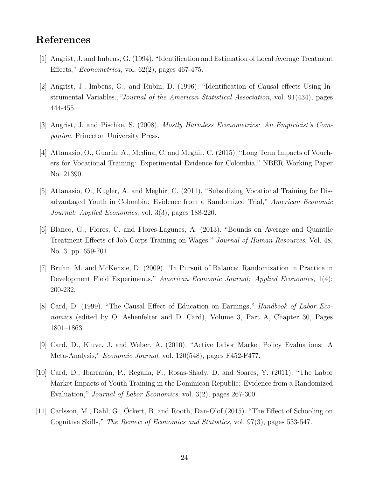## **References**

- [1] Angrist, J. and Imbens, G. (1994). "Identification and Estimation of Local Average Treatment Effects," *Econometrica,* vol. 62(2), pages 467-475.
- [2] Angrist, J., Imbens, G., and Rubin, D. (1996). "Identification of Causal effects Using Instrumental Variables.*,"Journal of the American Statistical Association*, vol. 91(434), pages 444-455.
- [3] Angrist, J. and Pischke, S. (2008). *Mostly Harmless Econometrics: An Empiricist's Companion*. Princeton University Press.
- [4] Attanasio, O., Guarín, A., Medina, C. and Meghir, C. (2015). "Long Term Impacts of Vouchers for Vocational Training: Experimental Evidence for Colombia," NBER Working Paper No. 21390.
- [5] Attanasio, O., Kugler, A. and Meghir, C. (2011). "Subsidizing Vocational Training for Disadvantaged Youth in Colombia: Evidence from a Randomized Trial," *American Economic Journal: Applied Economics*, vol. 3(3), pages 188-220.
- [6] Blanco, G., Flores, C. and Flores-Lagunes, A. (2013). "Bounds on Average and Quantile Treatment Effects of Job Corps Training on Wages," *Journal of Human Resources*, Vol. 48, No. 3, pp. 659-701.
- [7] Bruhn, M. and McKenzie, D. (2009). "In Pursuit of Balance: Randomization in Practice in Development Field Experiments," *American Economic Journal: Applied Economics*, 1(4): 200-232.
- [8] Card, D. (1999). "The Causal Effect of Education on Earnings," *Handbook of Labor Economics* (edited by O. Ashenfelter and D. Card), Volume 3, Part A, Chapter 30, Pages 1801–1863.
- [9] Card, D., Kluve, J. and Weber, A. (2010). "Active Labor Market Policy Evaluations: A Meta-Analysis," *Economic Journal*, vol. 120(548), pages F452-F477.
- [10] Card, D., Ibarrarán, P., Regalia, F., Rosas-Shady, D. and Soares, Y. (2011). "The Labor Market Impacts of Youth Training in the Dominican Republic: Evidence from a Randomized Evaluation," *Journal of Labor Economics*, vol. 3(2), pages 267-300.
- [11] Carlsson, M., Dahl, G., Öckert, B. and Rooth, Dan-Olof (2015). "The Effect of Schooling on Cognitive Skills," *The Review of Economics and Statistics*, vol. 97(3), pages 533-547.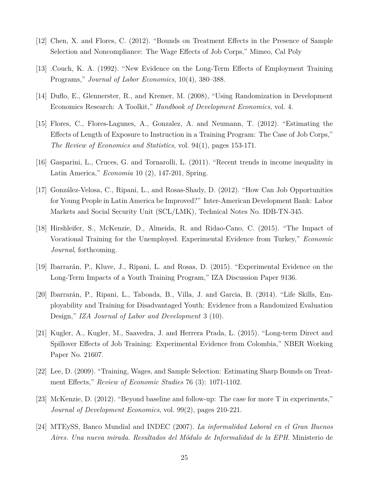- [12] Chen, X. and Flores, C. (2012). "Bounds on Treatment Effects in the Presence of Sample Selection and Noncompliance: The Wage Effects of Job Corps," Mimeo, Cal Poly
- [13] .Couch, K. A. (1992). "New Evidence on the Long-Term Effects of Employment Training Programs," *Journal of Labor Economics*, 10(4), 380–388.
- [14] Duflo, E., Glennerster, R., and Kremer, M. (2008), "Using Randomization in Development Economics Research: A Toolkit," *Handbook of Development Economics*, vol. 4.
- [15] Flores, C., Flores-Lagunes, A., Gonzalez, A. and Neumann, T. (2012). "Estimating the Effects of Length of Exposure to Instruction in a Training Program: The Case of Job Corps," *The Review of Economics and Statistics*, vol. 94(1), pages 153-171.
- [16] Gasparini, L., Cruces, G. and Tornarolli, L. (2011). "Recent trends in income inequality in Latin America," *Economia* 10 (2), 147-201, Spring.
- [17] González-Velosa, C., Ripani, L., and Rosas-Shady, D. (2012). "How Can Job Opportunities for Young People in Latin America be Improved?" Inter-American Development Bank: Labor Markets and Social Security Unit (SCL/LMK), Technical Notes No. IDB-TN-345.
- [18] Hirshleifer, S., McKenzie, D., Almeida, R. and Ridao-Cano, C. (2015). "The Impact of Vocational Training for the Unemployed. Experimental Evidence from Turkey," *Economic Journal*, forthcoming.
- [19] Ibarrarán, P., Kluve, J., Ripani, L. and Rosas, D. (2015). "Experimental Evidence on the Long-Term Impacts of a Youth Training Program," IZA Discussion Paper 9136.
- [20] Ibarrarán, P., Ripani, L., Taboada, B., Villa, J. and Garcia, B. (2014). "Life Skills, Employability and Training for Disadvantaged Youth: Evidence from a Randomized Evaluation Design," *IZA Journal of Labor and Development* 3 (10).
- [21] Kugler, A., Kugler, M., Saavedra, J. and Herrera Prada, L. (2015). "Long-term Direct and Spillover Effects of Job Training: Experimental Evidence from Colombia," NBER Working Paper No. 21607.
- [22] Lee, D. (2009). "Training, Wages, and Sample Selection: Estimating Sharp Bounds on Treatment Effects," *Review of Economic Studies* 76 (3): 1071-1102.
- [23] McKenzie, D. (2012). "Beyond baseline and follow-up: The case for more T in experiments," *Journal of Development Economics*, vol. 99(2), pages 210-221.
- [24] MTEySS, Banco Mundial and INDEC (2007). *La informalidad Laboral en el Gran Buenos Aires. Una nueva mirada. Resultados del Módulo de Informalidad de la EPH*. Ministerio de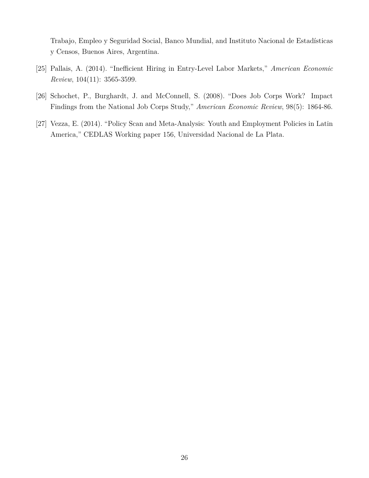Trabajo, Empleo y Seguridad Social, Banco Mundial, and Instituto Nacional de Estadísticas y Censos, Buenos Aires, Argentina.

- [25] Pallais, A. (2014). "Inefficient Hiring in Entry-Level Labor Markets," *American Economic Review*, 104(11): 3565-3599.
- [26] Schochet, P., Burghardt, J. and McConnell, S. (2008). "Does Job Corps Work? Impact Findings from the National Job Corps Study," *American Economic Review*, 98(5): 1864-86.
- [27] Vezza, E. (2014). "Policy Scan and Meta-Analysis: Youth and Employment Policies in Latin America," CEDLAS Working paper 156, Universidad Nacional de La Plata.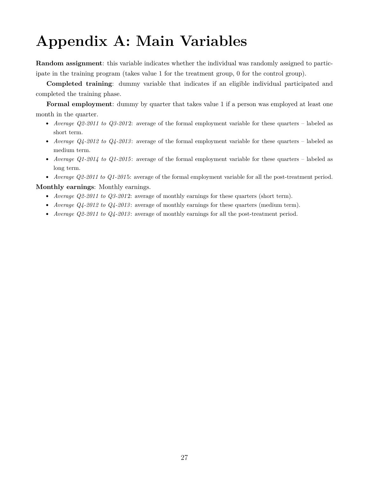# **Appendix A: Main Variables**

**Random assignment**: this variable indicates whether the individual was randomly assigned to participate in the training program (takes value 1 for the treatment group, 0 for the control group).

**Completed training**: dummy variable that indicates if an eligible individual participated and completed the training phase.

**Formal employment**: dummy by quarter that takes value 1 if a person was employed at least one month in the quarter.

- *Average Q2-2011 to Q3-2012*: average of the formal employment variable for these quarters labeled as short term.
- *Average Q4-2012 to Q4-2013*: average of the formal employment variable for these quarters labeled as medium term.
- *Average Q1-2014 to Q1-2015*: average of the formal employment variable for these quarters labeled as long term.
- *Average Q2-2011 to Q1-201* 5: average of the formal employment variable for all the post-treatment period.

**Monthly earnings**: Monthly earnings.

- *Average Q2-2011 to Q3-2012*: average of monthly earnings for these quarters (short term).
- *Average Q4-2012 to Q4-2013*: average of monthly earnings for these quarters (medium term).
- *Average Q2-2011 to Q4-2013*: average of monthly earnings for all the post-treatment period.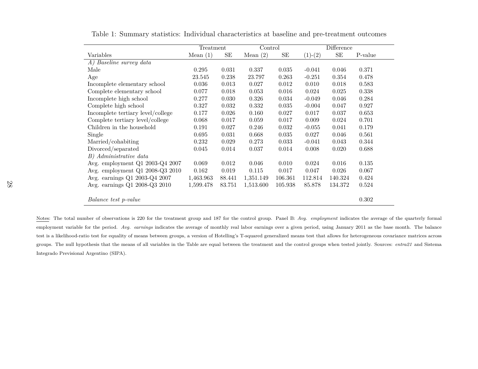|                                   | Treatment  |        | Control    |         | Difference |         |         |
|-----------------------------------|------------|--------|------------|---------|------------|---------|---------|
| Variables                         | Mean $(1)$ | SЕ     | Mean $(2)$ | SE      | $(1)-(2)$  | SE      | P-value |
| A) Baseline survey data           |            |        |            |         |            |         |         |
| Male                              | 0.295      | 0.031  | 0.337      | 0.035   | $-0.041$   | 0.046   | 0.371   |
| Age                               | 23.545     | 0.238  | 23.797     | 0.263   | $-0.251$   | 0.354   | 0.478   |
| Incomplete elementary school      | 0.036      | 0.013  | 0.027      | 0.012   | 0.010      | 0.018   | 0.583   |
| Complete elementary school        | 0.077      | 0.018  | 0.053      | 0.016   | 0.024      | 0.025   | 0.338   |
| Incomplete high school            | 0.277      | 0.030  | 0.326      | 0.034   | $-0.049$   | 0.046   | 0.284   |
| Complete high school              | 0.327      | 0.032  | 0.332      | 0.035   | $-0.004$   | 0.047   | 0.927   |
| Incomplete tertiary level/college | 0.177      | 0.026  | 0.160      | 0.027   | 0.017      | 0.037   | 0.653   |
| Complete tertiary level/college   | 0.068      | 0.017  | 0.059      | 0.017   | 0.009      | 0.024   | 0.701   |
| Children in the household         | 0.191      | 0.027  | 0.246      | 0.032   | $-0.055$   | 0.041   | 0.179   |
| Single                            | 0.695      | 0.031  | 0.668      | 0.035   | 0.027      | 0.046   | 0.561   |
| Married/cohabiting                | 0.232      | 0.029  | 0.273      | 0.033   | $-0.041$   | 0.043   | 0.344   |
| Divorced/separated                | 0.045      | 0.014  | 0.037      | 0.014   | 0.008      | 0.020   | 0.688   |
| B) Administrative data            |            |        |            |         |            |         |         |
| Avg. employment Q1 2003-Q4 2007   | 0.069      | 0.012  | 0.046      | 0.010   | 0.024      | 0.016   | 0.135   |
| Avg. employment Q1 2008-Q3 2010   | 0.162      | 0.019  | 0.115      | 0.017   | 0.047      | 0.026   | 0.067   |
| Avg. earnings Q1 2003-Q4 2007     | 1,463.963  | 88.441 | 1,351.149  | 106.361 | 112.814    | 140.324 | 0.424   |
| Avg. earnings Q1 2008-Q3 2010     | 1,599.478  | 83.751 | 1,513.600  | 105.938 | 85.878     | 134.372 | 0.524   |
| Balance test p-value              |            |        |            |         |            |         | 0.302   |

Table 1: Summary statistics: Individual characteristics at baseline and pre-treatment outcomes

Notes: The total number of observations is 220 for the treatment group and 187 for the control group. Panel B: *Avg. employment* indicates the average of the quarterly formal employment variable for the period. *Avg. earnings* indicates the average of monthly real labor earnings over <sup>a</sup> <sup>g</sup>iven period, using January <sup>2011</sup> as the base month. The balancetest is <sup>a</sup> likelihood-ratio test for equality of means between groups, <sup>a</sup> version of Hotelling's T-squared generalized means test that allows for heterogeneous covariance matrices acrossgroups. The null hypothesis that the means of all variables in the Table are equal between the treatment and the control groups when tested jointly. Sources: *entra21* and Sistema Integrado Previsional Argentino (SIPA).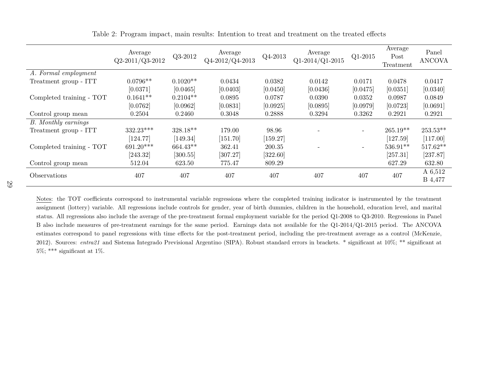| Average<br>Q2-2011/Q3-2012 | $Q3-2012$  | Average<br>$Q4 - 2012/Q4 - 2013$ | $Q4-2013$ | Average<br>$Q1-2014/Q1-2015$ | $Q1-2015$                | Average<br>Post<br>Treatment | Panel<br><b>ANCOVA</b> |
|----------------------------|------------|----------------------------------|-----------|------------------------------|--------------------------|------------------------------|------------------------|
|                            |            |                                  |           |                              |                          |                              |                        |
| $0.0796**$                 | $0.1020**$ | 0.0434                           | 0.0382    | 0.0142                       | 0.0171                   | 0.0478                       | 0.0417                 |
| [0.0371]                   | [0.0465]   | [0.0403]                         | [0.0450]  | [0.0436]                     | [0.0475]                 | [0.0351]                     | [0.0340]               |
| $0.1641**$                 | $0.2104**$ | 0.0895                           | 0.0787    | 0.0390                       | 0.0352                   | 0.0987                       | 0.0849                 |
| [0.0762]                   | [0.0962]   | [0.0831]                         | [0.0925]  | [0.0895]                     | [0.0979]                 | [0.0723]                     | [0.0691]               |
| 0.2504                     | 0.2460     | 0.3048                           | 0.2888    | 0.3294                       | 0.3262                   | 0.2921                       | 0.2921                 |
|                            |            |                                  |           |                              |                          |                              |                        |
| 332.23***                  | $328.18**$ | 179.00                           | 98.96     |                              | $ \,$                    | $265.19**$                   | $253.53**$             |
| [124.77]                   | [149.34]   | [151.70]                         | [159.27]  |                              |                          | [127.59]                     | [117.00]               |
| $691.20***$                | $664.43**$ | 362.41                           | 200.35    |                              | $\overline{\phantom{a}}$ | $536.91**$                   | $517.62**$             |
| [243.32]                   | [300.55]   | [307.27]                         | [322.60]  |                              |                          | [257.31]                     | [237.87]               |
| 512.04                     | 623.50     | 775.47                           | 809.29    |                              |                          | 627.29                       | 632.80                 |
|                            |            |                                  |           |                              |                          |                              | A 6,512                |
|                            |            |                                  |           |                              |                          |                              | B 4,477                |
|                            | 407        | 407                              | 407       | 407                          | 407                      | 407                          | 407                    |

Table 2: Program impact, main results: Intention to treat and treatment on the treated effects

Notes: the TOT coefficients correspond to instrumental variable regressions where the completed training indicator is instrumented by the treatmentassignment (lottery) variable. All regressions include controls for gender, year of birth dummies, children in the household, education level, and maritalstatus. All regressions also include the average of the pre-treatment formal employment variable for the period Q1-2008 to Q3-2010. Regressions in Panel<sup>B</sup> also include measures of pre-treatment earnings for the same period. Earnings data not available for the Q1-2014/Q1-2015 period. The ANCOVA estimates correspond to pane<sup>l</sup> regressions with time effects for the post-treatment period, including the pre-treatment average as <sup>a</sup> control (McKenzie,2012). Sources: *entra21* and Sistema Integrado Previsional Argentino (SIPA). Robust standard errors in brackets. \* significant at 10%; \*\* significant at 5%; \*\*\* significant at 1%.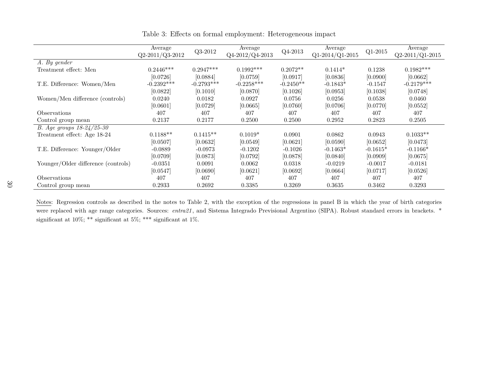|                                     | Average         | $Q3-2012$    | Average         | $Q4-2013$   | Average           | $Q1-2015$  | Average           |
|-------------------------------------|-----------------|--------------|-----------------|-------------|-------------------|------------|-------------------|
|                                     | Q2-2011/Q3-2012 |              | Q4-2012/Q4-2013 |             | $Q1-2014/Q1-2015$ |            | $Q2-2011/Q1-2015$ |
| A. By gender                        |                 |              |                 |             |                   |            |                   |
| Treatment effect: Men               | $0.2446***$     | $0.2947***$  | $0.1992***$     | $0.2072**$  | $0.1414*$         | 0.1238     | $0.1982***$       |
|                                     | [0.0726]        | [0.0884]     | [0.0759]        | [0.0917]    | [0.0836]          | [0.0900]   | [0.0662]          |
| T.E. Difference: Women/Men          | $-0.2392***$    | $-0.2793***$ | $-0.2258***$    | $-0.2450**$ | $-0.1843*$        | $-0.1547$  | $-0.2179***$      |
|                                     | [0.0822]        | [0.1010]     | [0.0870]        | [0.1026]    | [0.0953]          | [0.1038]   | [0.0748]          |
| Women/Men difference (controls)     | 0.0240          | 0.0182       | 0.0927          | 0.0756      | 0.0256            | 0.0538     | 0.0460            |
|                                     | [0.0601]        | [0.0729]     | [0.0665]        | [0.0760]    | [0.0706]          | [0.0770]   | [0.0552]          |
| <i>Observations</i>                 | 407             | 407          | 407             | 407         | 407               | 407        | 407               |
| Control group mean                  | 0.2137          | 0.2177       | 0.2500          | 0.2500      | 0.2952            | 0.2823     | 0.2505            |
| B. Age groups $18-24/25-30$         |                 |              |                 |             |                   |            |                   |
| Treatment effect: Age 18-24         | $0.1188**$      | $0.1415**$   | $0.1019*$       | 0.0901      | 0.0862            | 0.0943     | $0.1033**$        |
|                                     | [0.0507]        | [0.0632]     | [0.0549]        | [0.0621]    | [0.0590]          | [0.0652]   | [0.0473]          |
| T.E. Difference: Younger/Older      | $-0.0889$       | $-0.0973$    | $-0.1202$       | $-0.1026$   | $-0.1463*$        | $-0.1615*$ | $-0.1166*$        |
|                                     | [0.0709]        | [0.0873]     | [0.0792]        | [0.0878]    | [0.0840]          | [0.0909]   | [0.0675]          |
| Younger/Older difference (controls) | $-0.0351$       | 0.0091       | 0.0062          | 0.0318      | $-0.0219$         | $-0.0017$  | $-0.0181$         |
|                                     | [0.0547]        | [0.0690]     | [0.0621]        | [0.0692]    | [0.0664]          | [0.0717]   | [0.0526]          |
| <i><b>Observations</b></i>          | 407             | 407          | 407             | 407         | 407               | 407        | 407               |
| Control group mean                  | 0.2933          | 0.2692       | 0.3385          | 0.3269      | 0.3635            | 0.3462     | 0.3293            |

Table 3: Effects on formal employment: Heterogeneous impact

Notes: Regression controls as described in the notes to Table 2, with the exception of the regressions in panel B in which the year of birth categorieswere replaced with age range categories. Sources:  $entra21$ , and Sistema Integrado Previsional Argentino (SIPA). Robust standard errors in brackets. \* significant at 10%; \*\* significant at 5%; \*\*\* significant at 1%.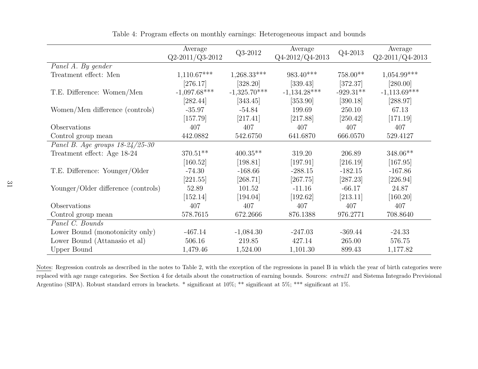|                                     | Average           | $Q3-2012$      | Average         | Q4-2013     | Average           |
|-------------------------------------|-------------------|----------------|-----------------|-------------|-------------------|
|                                     | $Q2-2011/Q3-2012$ |                | Q4-2012/Q4-2013 |             | $Q2-2011/Q4-2013$ |
| Panel A. By gender                  |                   |                |                 |             |                   |
| Treatment effect: Men               | $1,110.67***$     | $1,268.33***$  | 983.40***       | 758.00**    | $1,054.99***$     |
|                                     | [276.17]          | [328.20]       | [339.43]        | [372.37]    | [280.00]          |
| T.E. Difference: Women/Men          | $-1,097.68***$    | $-1,325.70***$ | $-1,134.28***$  | $-929.31**$ | $-1,113.69***$    |
|                                     | [282.44]          | [343.45]       | [353.90]        | [390.18]    | [288.97]          |
| Women/Men difference (controls)     | $-35.97$          | $-54.84$       | 199.69          | 250.10      | 67.13             |
|                                     | [157.79]          | [217.41]       | [217.88]        | [250.42]    | [171.19]          |
| Observations                        | 407               | 407            | 407             | 407         | 407               |
| Control group mean                  | 442.0882          | 542.6750       | 641.6870        | 666.0570    | 529.4127          |
| Panel B. Age groups 18-24/25-30     |                   |                |                 |             |                   |
| Treatment effect: Age 18-24         | $370.51**$        | $400.35**$     | 319.20          | 206.89      | $348.06**$        |
|                                     | [160.52]          | [198.81]       | [197.91]        | [216.19]    | [167.95]          |
| T.E. Difference: Younger/Older      | $-74.30$          | $-168.66$      | $-288.15$       | $-182.15$   | $-167.86$         |
|                                     | [221.55]          | [268.71]       | [267.75]        | [287.23]    | [226.94]          |
| Younger/Older difference (controls) | 52.89             | 101.52         | $-11.16$        | $-66.17$    | 24.87             |
|                                     | [152.14]          | [194.04]       | [192.62]        | [213.11]    | [160.20]          |
| Observations                        | 407               | 407            | 407             | 407         | 407               |
| Control group mean                  | 578.7615          | 672.2666       | 876.1388        | 976.2771    | 708.8640          |
| Panel C. Bounds                     |                   |                |                 |             |                   |
| Lower Bound (monotonicity only)     | $-467.14$         | $-1,084.30$    | $-247.03$       | $-369.44$   | $-24.33$          |
| Lower Bound (Attanasio et al)       | 506.16            | 219.85         | 427.14          | 265.00      | 576.75            |
| Upper Bound                         | 1,479.46          | 1,524.00       | 1,101.30        | 899.43      | 1,177.82          |

Table 4: Program effects on monthly earnings: Heterogeneous impact and bounds

Notes: Regression controls as described in the notes to Table 2, with the exception of the regressions in panel B in which the year of birth categories were replaced with age range categories. See Section 4 for details about the construction of earning bounds. Sources: *entra21* and Sistema Integrado Previsional Argentino (SIPA). Robust standard errors in brackets. \* significant at 10%; \*\* significant at 5%; \*\*\* significant at 1%.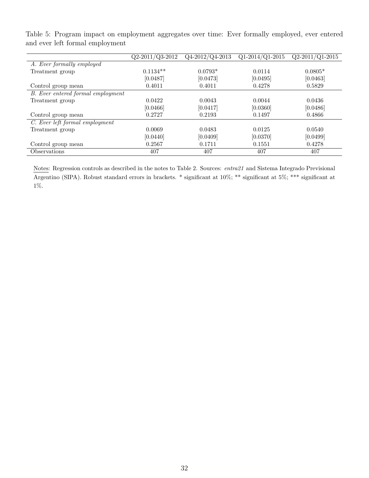|                                   | $Q2-2011/Q3-2012$ | $Q4-2012/Q4-2013$ | $Q1-2014/Q1-2015$ | $Q2-2011/Q1-2015$ |
|-----------------------------------|-------------------|-------------------|-------------------|-------------------|
| A. Ever formally employed         |                   |                   |                   |                   |
| Treatment group                   | $0.1134**$        | $0.0793*$         | 0.0114            | $0.0805*$         |
|                                   | [0.0487]          | [0.0473]          | [0.0495]          | [0.0463]          |
| Control group mean                | 0.4011            | 0.4011            | 0.4278            | 0.5829            |
| B. Ever entered formal employment |                   |                   |                   |                   |
| Treatment group                   | 0.0422            | 0.0043            | 0.0044            | 0.0436            |
|                                   | [0.0466]          | [0.0417]          | [0.0360]          | [0.0486]          |
| Control group mean                | 0.2727            | 0.2193            | 0.1497            | 0.4866            |
| C. Ever left formal employment    |                   |                   |                   |                   |
| Treatment group                   | 0.0069            | 0.0483            | 0.0125            | 0.0540            |
|                                   | [0.0440]          | [0.0409]          | [0.0370]          | [0.0499]          |
| Control group mean                | 0.2567            | 0.1711            | 0.1551            | 0.4278            |
| Observations                      | 407               | 407               | 407               | 407               |

Table 5: Program impact on employment aggregates over time: Ever formally employed, ever entered and ever left formal employment

Notes: Regression controls as described in the notes to Table 2. Sources: *entra21* and Sistema Integrado Previsional Argentino (SIPA). Robust standard errors in brackets. \* significant at 10%; \*\* significant at 5%; \*\*\* significant at 1%.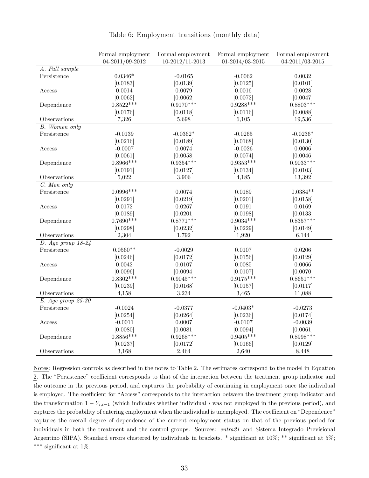|                      | Formal employment | Formal employment | Formal employment | Formal employment |
|----------------------|-------------------|-------------------|-------------------|-------------------|
|                      | 04-2011/09-2012   | 10-2012/11-2013   | $01-2014/03-2015$ | 04-2011/03-2015   |
| A. Full sample       |                   |                   |                   |                   |
| Persistence          | $0.0346*$         | $-0.0165$         | $-0.0062$         | 0.0032            |
|                      | [0.0183]          | [0.0139]          | [0.0125]          | [0.0101]          |
| Access               | 0.0014            | 0.0079            | 0.0016            | 0.0028            |
|                      | [0.0062]          | [0.0062]          | [0.0072]          | [0.0047]          |
| Dependence           | $0.8522***$       | $0.9170***$       | $0.9288***$       | $0.8803***$       |
|                      | [0.0176]          | [0.0118]          | [0.0116]          | [0.0088]          |
| Observations         | 7,326             | 5,698             | 6,105             | 19,536            |
| <b>B.</b> Women only |                   |                   |                   |                   |
| Persistence          | $-0.0139$         | $-0.0362*$        | $-0.0265$         | $-0.0236*$        |
|                      | [0.0216]          | [0.0189]          | [0.0168]          | [0.0130]          |
| Access               | $-0.0007$         | 0.0074            | $-0.0026$         | 0.0006            |
|                      | [0.0061]          | [0.0058]          | [0.0074]          | [0.0046]          |
| Dependence           | $0.8966***$       | $0.9354***$       | $0.9353***$       | $0.9033***$       |
|                      | [0.0191]          | [0.0127]          | [0.0134]          | [0.0103]          |
| Observations         | 5,022             | 3,906             | 4,185             | 13,392            |
| $C.$ Men only        |                   |                   |                   |                   |
| Persistence          | $0.0996***$       | 0.0074            | 0.0189            | $0.0384**$        |
|                      | [0.0291]          | [0.0219]          | [0.0201]          | [0.0158]          |
| Access               | 0.0172            | 0.0267            | 0.0191            | 0.0169            |
|                      | [0.0189]          | [0.0201]          | [0.0198]          | [0.0133]          |
| Dependence           | $0.7690***$       | $0.8771***$       | $0.9034***$       | $0.8357***$       |
|                      | [0.0298]          | [0.0232]          | [0.0229]          | [0.0149]          |
| Observations         | 2,304             | 1,792             | 1,920             | 6,144             |
| D. Age group 18-24   |                   |                   |                   |                   |
| Persistence          | $0.0560**$        | $-0.0029$         | 0.0107            | 0.0206            |
|                      | [0.0246]          | [0.0172]          | [0.0156]          | [0.0129]          |
| Access               | 0.0042            | 0.0107            | 0.0085            | 0.0066            |
|                      | [0.0096]          | [0.0094]          | [0.0107]          | [0.0070]          |
| Dependence           | $0.8302***$       | $0.9045***$       | $0.9175***$       | $0.8651***$       |
|                      | [0.0239]          | [0.0168]          | [0.0157]          | [0.0117]          |
| Observations         | 4,158             | 3,234             | 3,465             | 11,088            |
| $E.$ Age group 25-30 |                   |                   |                   |                   |
| Persistence          | $-0.0024$         | $-0.0377$         | $-0.0403*$        | $-0.0273$         |
|                      | [0.0254]          | [0.0264]          | [0.0236]          | [0.0174]          |
| Access               | $-0.0011$         | 0.0007            | $-0.0107$         | $-0.0039$         |
|                      | [0.0080]          | [0.0081]          | [0.0094]          | [0.0061]          |
| Dependence           | $0.8856***$       | $0.9268***$       | $0.9405***$       | $0.8998***$       |
|                      | [0.0237]          | [0.0172]          | [0.0166]          | [0.0129]          |
| Observations         | 3,168             | 2,464             | 2,640             | 8,448             |

Table 6: Employment transitions (monthly data)

Notes: Regression controls as described in the notes to Table 2. The estimates correspond to the model in Equation 2. The "Persistence" coefficient corresponds to that of the interaction between the treatment group indicator and the outcome in the previous period, and captures the probability of continuing in employment once the individual is employed. The coefficient for "Access" corresponds to the interaction between the treatment group indicator and the transformation  $1 - Y_{i,t-1}$  (which indicates whether individual *i* was not employed in the previous period), and captures the probability of entering employment when the individual is unemployed. The coefficient on "Dependence" captures the overall degree of dependence of the current employment status on that of the previous period for individuals in both the treatment and the control groups. Sources: *entra21* and Sistema Integrado Previsional Argentino (SIPA). Standard errors clustered by individuals in brackets. \* significant at 10%; \*\* significant at 5%; \*\*\* significant at 1%.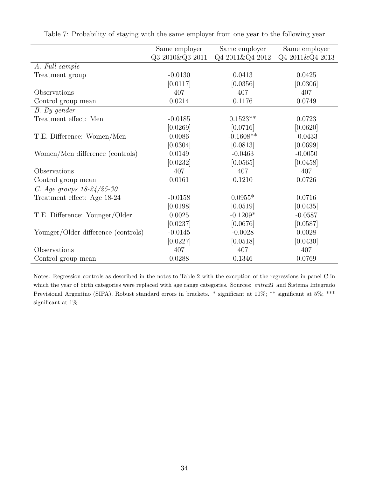|                                     | Same employer   | Same employer   | Same employer   |
|-------------------------------------|-----------------|-----------------|-----------------|
|                                     | Q3-2010&Q3-2011 | Q4-2011&Q4-2012 | Q4-2011&Q4-2013 |
| A. Full sample                      |                 |                 |                 |
| Treatment group                     | $-0.0130$       | 0.0413          | 0.0425          |
|                                     | [0.0117]        | [0.0356]        | [0.0306]        |
| Observations                        | 407             | 407             | 407             |
| Control group mean                  | 0.0214          | 0.1176          | 0.0749          |
| B. By gender                        |                 |                 |                 |
| Treatment effect: Men               | $-0.0185$       | $0.1523**$      | 0.0723          |
|                                     | [0.0269]        | [0.0716]        | [0.0620]        |
| T.E. Difference: Women/Men          | 0.0086          | $-0.1608**$     | $-0.0433$       |
|                                     | [0.0304]        | [0.0813]        | [0.0699]        |
| Women/Men difference (controls)     | 0.0149          | $-0.0463$       | $-0.0050$       |
|                                     | [0.0232]        | [0.0565]        | [0.0458]        |
| Observations                        | 407             | 407             | 407             |
| Control group mean                  | 0.0161          | 0.1210          | 0.0726          |
| C. Age groups $18-24/25-30$         |                 |                 |                 |
| Treatment effect: Age 18-24         | $-0.0158$       | $0.0955*$       | 0.0716          |
|                                     | [0.0198]        | [0.0519]        | [0.0435]        |
| T.E. Difference: Younger/Older      | 0.0025          | $-0.1209*$      | $-0.0587$       |
|                                     | [0.0237]        | [0.0676]        | [0.0587]        |
| Younger/Older difference (controls) | $-0.0145$       | $-0.0028$       | 0.0028          |
|                                     | [0.0227]        | [0.0518]        | [0.0430]        |
| Observations                        | 407             | 407             | 407             |
| Control group mean                  | 0.0288          | 0.1346          | 0.0769          |

Table 7: Probability of staying with the same employer from one year to the following year

Notes: Regression controls as described in the notes to Table 2 with the exception of the regressions in panel C in which the year of birth categories were replaced with age range categories. Sources: *entra21* and Sistema Integrado Previsional Argentino (SIPA). Robust standard errors in brackets. \* significant at 10%; \*\* significant at 5%; \*\*\* significant at 1%.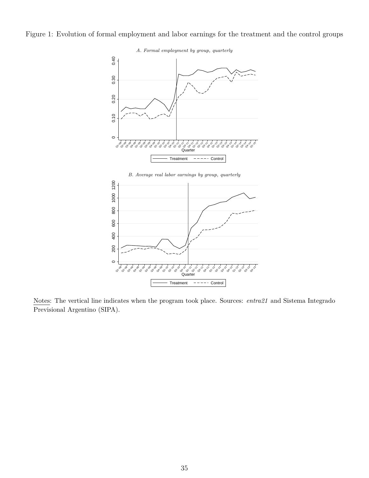Figure 1: Evolution of formal employment and labor earnings for the treatment and the control groups



*B. Average real labor earnings by group, quarterly*



Notes: The vertical line indicates when the program took place. Sources: *entra21* and Sistema Integrado Previsional Argentino (SIPA).

#### 35